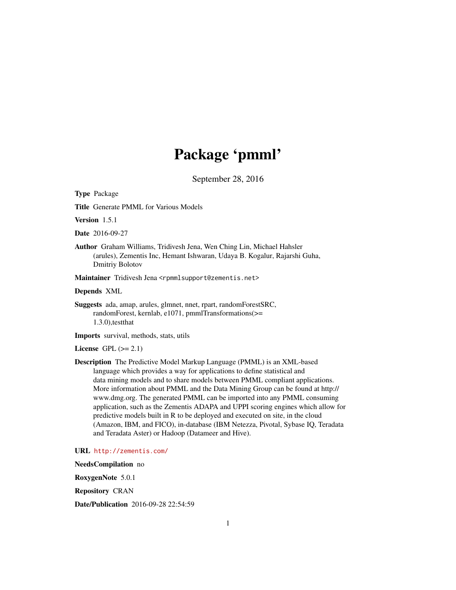# Package 'pmml'

September 28, 2016

Type Package

Title Generate PMML for Various Models

Version 1.5.1

Date 2016-09-27

Author Graham Williams, Tridivesh Jena, Wen Ching Lin, Michael Hahsler (arules), Zementis Inc, Hemant Ishwaran, Udaya B. Kogalur, Rajarshi Guha, Dmitriy Bolotov

Maintainer Tridivesh Jena <rpmmlsupport@zementis.net>

Depends XML

Suggests ada, amap, arules, glmnet, nnet, rpart, randomForestSRC, randomForest, kernlab, e1071, pmmlTransformations(>= 1.3.0),testthat

Imports survival, methods, stats, utils

License GPL  $(>= 2.1)$ 

Description The Predictive Model Markup Language (PMML) is an XML-based language which provides a way for applications to define statistical and data mining models and to share models between PMML compliant applications. More information about PMML and the Data Mining Group can be found at http:// www.dmg.org. The generated PMML can be imported into any PMML consuming application, such as the Zementis ADAPA and UPPI scoring engines which allow for predictive models built in R to be deployed and executed on site, in the cloud (Amazon, IBM, and FICO), in-database (IBM Netezza, Pivotal, Sybase IQ, Teradata and Teradata Aster) or Hadoop (Datameer and Hive).

URL <http://zementis.com/>

NeedsCompilation no RoxygenNote 5.0.1

Repository CRAN

Date/Publication 2016-09-28 22:54:59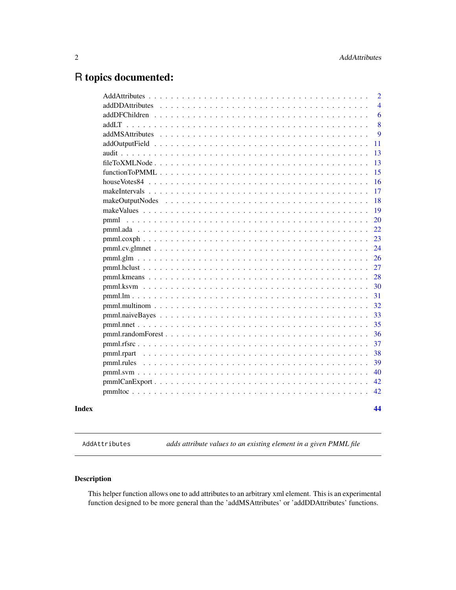# <span id="page-1-0"></span>R topics documented:

|       |                                                                                                                             | 2              |
|-------|-----------------------------------------------------------------------------------------------------------------------------|----------------|
|       |                                                                                                                             | $\overline{4}$ |
|       |                                                                                                                             | 6              |
|       |                                                                                                                             | 8              |
|       |                                                                                                                             | 9              |
|       |                                                                                                                             | 11             |
|       |                                                                                                                             | 13             |
|       |                                                                                                                             | 13             |
|       |                                                                                                                             | 15             |
|       |                                                                                                                             | 16             |
|       |                                                                                                                             | 17             |
|       |                                                                                                                             | 18             |
|       |                                                                                                                             | 19             |
|       |                                                                                                                             | 20             |
|       |                                                                                                                             | 22             |
|       |                                                                                                                             | 23             |
|       |                                                                                                                             | 24             |
|       |                                                                                                                             | 26             |
|       |                                                                                                                             | 27             |
|       |                                                                                                                             | 28             |
|       |                                                                                                                             | 30             |
|       |                                                                                                                             | 31             |
|       |                                                                                                                             | 32             |
|       |                                                                                                                             | 33             |
|       |                                                                                                                             | 35             |
|       | $pmm1. random Forest \dots \dots \dots \dots \dots \dots \dots \dots \dots \dots \dots \dots \dots \dots \dots \dots \dots$ | 36             |
|       |                                                                                                                             | 37             |
|       |                                                                                                                             | 38             |
|       |                                                                                                                             | 39             |
|       |                                                                                                                             | 40             |
|       |                                                                                                                             | 42             |
|       |                                                                                                                             | 42             |
| Index |                                                                                                                             | 44             |

AddAttributes *adds attribute values to an existing element in a given PMML file*

# Description

This helper function allows one to add attributes to an arbitrary xml element. This is an experimental function designed to be more general than the 'addMSAttributes' or 'addDDAttributes' functions.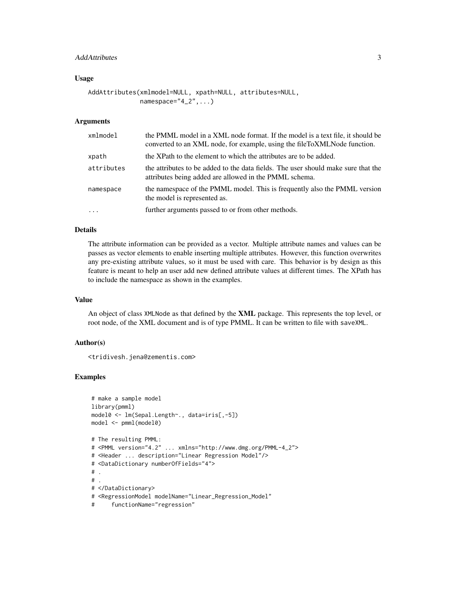# AddAttributes 3

#### Usage

```
AddAttributes(xmlmodel=NULL, xpath=NULL, attributes=NULL,
              namespace="4_2", \ldots)
```
### Arguments

| xmlmodel   | the PMML model in a XML node format. If the model is a text file, it should be<br>converted to an XML node, for example, using the fileToXMLNode function. |
|------------|------------------------------------------------------------------------------------------------------------------------------------------------------------|
| xpath      | the XPath to the element to which the attributes are to be added.                                                                                          |
| attributes | the attributes to be added to the data fields. The user should make sure that the<br>attributes being added are allowed in the PMML schema.                |
| namespace  | the namespace of the PMML model. This is frequently also the PMML version<br>the model is represented as.                                                  |
| $\cdot$    | further arguments passed to or from other methods.                                                                                                         |

#### Details

The attribute information can be provided as a vector. Multiple attribute names and values can be passes as vector elements to enable inserting multiple attributes. However, this function overwrites any pre-existing attribute values, so it must be used with care. This behavior is by design as this feature is meant to help an user add new defined attribute values at different times. The XPath has to include the namespace as shown in the examples.

# Value

An object of class XMLNode as that defined by the XML package. This represents the top level, or root node, of the XML document and is of type PMML. It can be written to file with saveXML.

# Author(s)

<tridivesh.jena@zementis.com>

```
# make a sample model
library(pmml)
model0 <- lm(Sepal.Length~., data=iris[,-5])
model <- pmml(model0)
```

```
# The resulting PMML:
# <PMML version="4.2" ... xmlns="http://www.dmg.org/PMML-4_2">
# <Header ... description="Linear Regression Model"/>
# <DataDictionary numberOfFields="4">
# .
# .
# </DataDictionary>
# <RegressionModel modelName="Linear_Regression_Model"
```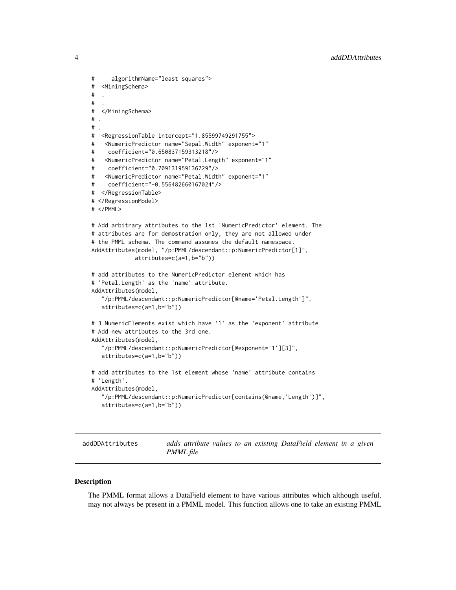```
# algorithmName="least squares">
# <MiningSchema>
\## .
# </MiningSchema>
# .
# .
# <RegressionTable intercept="1.85599749291755">
# <NumericPredictor name="Sepal.Width" exponent="1"
# coefficient="0.650837159313218"/>
# <NumericPredictor name="Petal.Length" exponent="1"
# coefficient="0.709131959136729"/>
# <NumericPredictor name="Petal.Width" exponent="1"
# coefficient="-0.556482660167024"/>
# </RegressionTable>
# </RegressionModel>
# </PMML>
# Add arbitrary attributes to the 1st 'NumericPredictor' element. The
# attributes are for demostration only, they are not allowed under
# the PMML schema. The command assumes the default namespace.
AddAttributes(model, "/p:PMML/descendant::p:NumericPredictor[1]",
            attributes=c(a=1,b="b"))
# add attributes to the NumericPredictor element which has
# 'Petal.Length' as the 'name' attribute.
AddAttributes(model,
   "/p:PMML/descendant::p:NumericPredictor[@name='Petal.Length']",
   attributes=c(a=1,b="b"))
# 3 NumericElements exist which have '1' as the 'exponent' attribute.
# Add new attributes to the 3rd one.
AddAttributes(model,
   "/p:PMML/descendant::p:NumericPredictor[@exponent='1'][3]",
   attributes=c(a=1,b="b"))
# add attributes to the 1st element whose 'name' attribute contains
# 'Length'.
AddAttributes(model,
   "/p:PMML/descendant::p:NumericPredictor[contains(@name,'Length')]",
   attributes=c(a=1,b="b"))
```
addDDAttributes *adds attribute values to an existing DataField element in a given PMML file*

#### **Description**

The PMML format allows a DataField element to have various attributes which although useful, may not always be present in a PMML model. This function allows one to take an existing PMML

<span id="page-3-0"></span>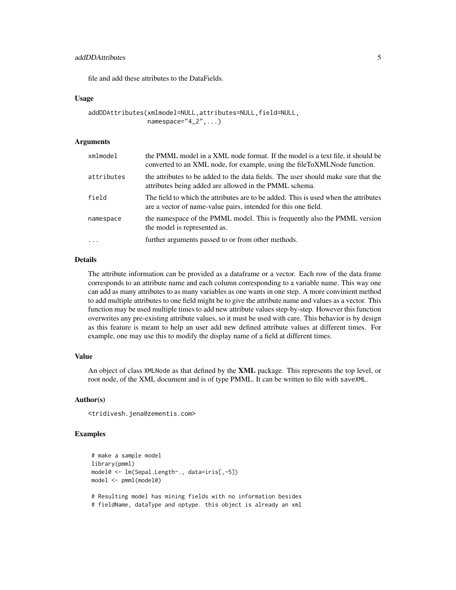# addDDAttributes 5

file and add these attributes to the DataFields.

#### Usage

```
addDDAttributes(xmlmodel=NULL,attributes=NULL,field=NULL,
                namespace="4_2",...)
```
# Arguments

| xmlmodel   | the PMML model in a XML node format. If the model is a text file, it should be<br>converted to an XML node, for example, using the fileToXMLNode function. |
|------------|------------------------------------------------------------------------------------------------------------------------------------------------------------|
| attributes | the attributes to be added to the data fields. The user should make sure that the<br>attributes being added are allowed in the PMML schema.                |
| field      | The field to which the attributes are to be added. This is used when the attributes<br>are a vector of name-value pairs, intended for this one field.      |
| namespace  | the namespace of the PMML model. This is frequently also the PMML version<br>the model is represented as.                                                  |
| $\cdot$    | further arguments passed to or from other methods.                                                                                                         |

#### Details

The attribute information can be provided as a dataframe or a vector. Each row of the data frame corresponds to an attribute name and each column corresponding to a variable name. This way one can add as many attributes to as many variables as one wants in one step. A more convinient method to add multiple attributes to one field might be to give the attribute name and values as a vector. This function may be used multiple times to add new attribute values step-by-step. However this function overwrites any pre-existing attribute values, so it must be used with care. This behavior is by design as this feature is meant to help an user add new defined attribute values at different times. For example, one may use this to modify the display name of a field at different times.

# Value

An object of class XMLNode as that defined by the XML package. This represents the top level, or root node, of the XML document and is of type PMML. It can be written to file with saveXML.

# Author(s)

<tridivesh.jena@zementis.com>

#### Examples

```
# make a sample model
library(pmml)
model0 <- lm(Sepal.Length~., data=iris[,-5])
model <- pmml(model0)
# Resulting model has mining fields with no information besides
```
# fieldName, dataType and optype. this object is already an xml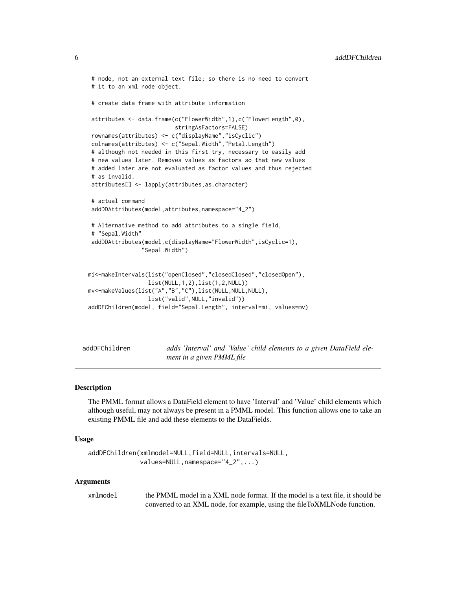```
# node, not an external text file; so there is no need to convert
# it to an xml node object.
# create data frame with attribute information
attributes <- data.frame(c("FlowerWidth",1),c("FlowerLength",0),
                          stringAsFactors=FALSE)
rownames(attributes) <- c("displayName","isCyclic")
colnames(attributes) <- c("Sepal.Width","Petal.Length")
# although not needed in this first try, necessary to easily add
# new values later. Removes values as factors so that new values
# added later are not evaluated as factor values and thus rejected
# as invalid.
attributes[] <- lapply(attributes,as.character)
# actual command
addDDAttributes(model,attributes,namespace="4_2")
# Alternative method to add attributes to a single field,
# "Sepal.Width"
addDDAttributes(model,c(displayName="FlowerWidth",isCyclic=1),
                "Sepal.Width")
mi<-makeIntervals(list("openClosed","closedClosed","closedOpen"),
                 list(NULL,1,2),list(1,2,NULL))
mv<-makeValues(list("A","B","C"),list(NULL,NULL,NULL),
                 list("valid",NULL,"invalid"))
addDFChildren(model, field="Sepal.Length", interval=mi, values=mv)
```
<span id="page-5-1"></span>addDFChildren *adds 'Interval' and 'Value' child elements to a given DataField element in a given PMML file*

# **Description**

The PMML format allows a DataField element to have 'Interval' and 'Value' child elements which although useful, may not always be present in a PMML model. This function allows one to take an existing PMML file and add these elements to the DataFields.

# Usage

```
addDFChildren(xmlmodel=NULL,field=NULL,intervals=NULL,
              values=NULL,namespace="4_2",...)
```
#### Arguments

xmlmodel the PMML model in a XML node format. If the model is a text file, it should be converted to an XML node, for example, using the fileToXMLNode function.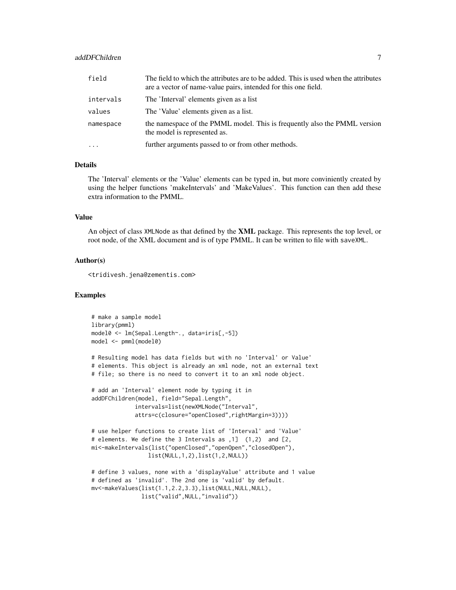# addDFChildren 7 and 7 and 7 and 7 and 7 and 7 and 7 and 7 and 7 and 7 and 7 and 7 and 7 and 7 and 7 and 7 and 7

| field      | The field to which the attributes are to be added. This is used when the attributes<br>are a vector of name-value pairs, intended for this one field. |
|------------|-------------------------------------------------------------------------------------------------------------------------------------------------------|
| intervals  | The 'Interval' elements given as a list                                                                                                               |
| values     | The 'Value' elements given as a list.                                                                                                                 |
| namespace  | the namespace of the PMML model. This is frequently also the PMML version<br>the model is represented as.                                             |
| $\ddots$ . | further arguments passed to or from other methods.                                                                                                    |

# Details

The 'Interval' elements or the 'Value' elements can be typed in, but more conviniently created by using the helper functions 'makeIntervals' and 'MakeValues'. This function can then add these extra information to the PMML.

# Value

An object of class XMLNode as that defined by the XML package. This represents the top level, or root node, of the XML document and is of type PMML. It can be written to file with saveXML.

# Author(s)

<tridivesh.jena@zementis.com>

```
# make a sample model
library(pmml)
model0 <- lm(Sepal.Length~., data=iris[,-5])
model <- pmml(model0)
```

```
# Resulting model has data fields but with no 'Interval' or Value'
# elements. This object is already an xml node, not an external text
# file; so there is no need to convert it to an xml node object.
```

```
# add an 'Interval' element node by typing it in
addDFChildren(model, field="Sepal.Length",
             intervals=list(newXMLNode("Interval",
             attrs=c(closure="openClosed",rightMargin=3))))
```

```
# use helper functions to create list of 'Interval' and 'Value'
# elements. We define the 3 Intervals as ,1] (1,2) and [2,
mi<-makeIntervals(list("openClosed","openOpen","closedOpen"),
                list(NULL,1,2),list(1,2,NULL))
```

```
# define 3 values, none with a 'displayValue' attribute and 1 value
# defined as 'invalid'. The 2nd one is 'valid' by default.
mv<-makeValues(list(1.1,2.2,3.3),list(NULL,NULL,NULL),
              list("valid",NULL,"invalid"))
```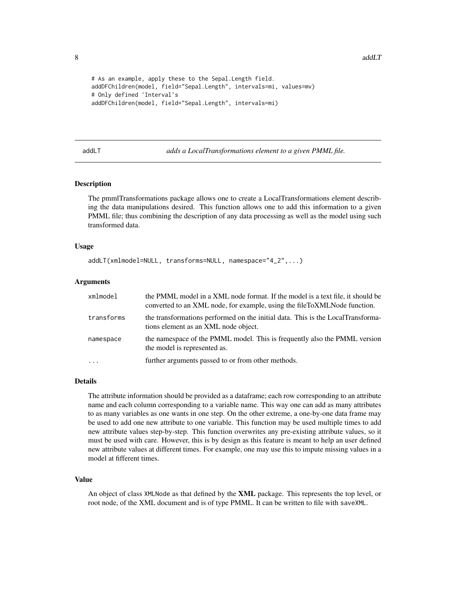```
# As an example, apply these to the Sepal.Length field.
addDFChildren(model, field="Sepal.Length", intervals=mi, values=mv)
# Only defined 'Interval's
addDFChildren(model, field="Sepal.Length", intervals=mi)
```
addLT *adds a LocalTransformations element to a given PMML file.*

# Description

The pmmlTransformations package allows one to create a LocalTransformations element describing the data manipulations desired. This function allows one to add this information to a given PMML file; thus combining the description of any data processing as well as the model using such transformed data.

#### Usage

addLT(xmlmodel=NULL, transforms=NULL, namespace="4\_2",...)

# Arguments

| xmlmodel   | the PMML model in a XML node format. If the model is a text file, it should be<br>converted to an XML node, for example, using the fileToXMLNode function. |
|------------|------------------------------------------------------------------------------------------------------------------------------------------------------------|
| transforms | the transformations performed on the initial data. This is the LocalTransforma-<br>tions element as an XML node object.                                    |
| namespace  | the namespace of the PMML model. This is frequently also the PMML version<br>the model is represented as.                                                  |
|            | further arguments passed to or from other methods.                                                                                                         |

#### Details

The attribute information should be provided as a dataframe; each row corresponding to an attribute name and each column corresponding to a variable name. This way one can add as many attributes to as many variables as one wants in one step. On the other extreme, a one-by-one data frame may be used to add one new attribute to one variable. This function may be used multiple times to add new attribute values step-by-step. This function overwrites any pre-existing attribute values, so it must be used with care. However, this is by design as this feature is meant to help an user defined new attribute values at different times. For example, one may use this to impute missing values in a model at fifferent times.

#### Value

An object of class XMLNode as that defined by the XML package. This represents the top level, or root node, of the XML document and is of type PMML. It can be written to file with saveXML.

<span id="page-7-0"></span>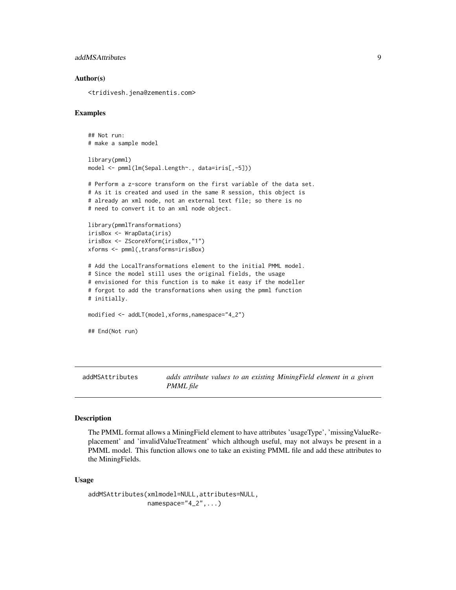# <span id="page-8-0"></span>addMSAttributes 9

# Author(s)

<tridivesh.jena@zementis.com>

#### Examples

```
## Not run:
# make a sample model
library(pmml)
model <- pmml(lm(Sepal.Length~., data=iris[,-5]))
# Perform a z-score transform on the first variable of the data set.
# As it is created and used in the same R session, this object is
# already an xml node, not an external text file; so there is no
# need to convert it to an xml node object.
library(pmmlTransformations)
irisBox <- WrapData(iris)
irisBox <- ZScoreXform(irisBox,"1")
xforms <- pmml(,transforms=irisBox)
# Add the LocalTransformations element to the initial PMML model.
# Since the model still uses the original fields, the usage
# envisioned for this function is to make it easy if the modeller
# forgot to add the transformations when using the pmml function
# initially.
modified <- addLT(model,xforms,namespace="4_2")
## End(Not run)
```
addMSAttributes *adds attribute values to an existing MiningField element in a given PMML file*

#### Description

The PMML format allows a MiningField element to have attributes 'usageType', 'missingValueReplacement' and 'invalidValueTreatment' which although useful, may not always be present in a PMML model. This function allows one to take an existing PMML file and add these attributes to the MiningFields.

#### Usage

```
addMSAttributes(xmlmodel=NULL,attributes=NULL,
                 namespace="4_2", \ldots)
```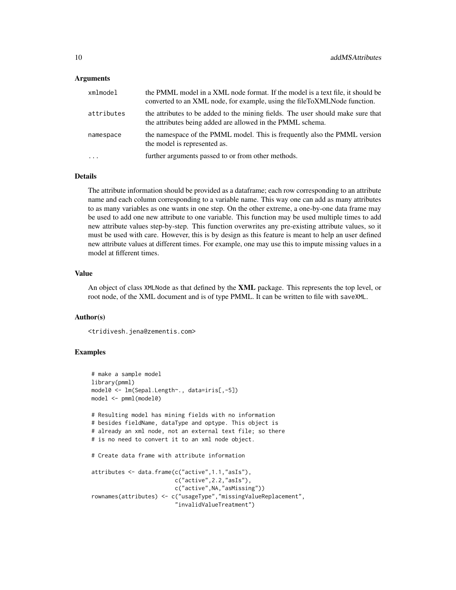#### Arguments

| xmlmodel   | the PMML model in a XML node format. If the model is a text file, it should be<br>converted to an XML node, for example, using the fileToXMLNode function. |
|------------|------------------------------------------------------------------------------------------------------------------------------------------------------------|
| attributes | the attributes to be added to the mining fields. The user should make sure that<br>the attributes being added are allowed in the PMML schema.              |
| namespace  | the namespace of the PMML model. This is frequently also the PMML version<br>the model is represented as.                                                  |
| $\cdots$   | further arguments passed to or from other methods.                                                                                                         |

# Details

The attribute information should be provided as a dataframe; each row corresponding to an attribute name and each column corresponding to a variable name. This way one can add as many attributes to as many variables as one wants in one step. On the other extreme, a one-by-one data frame may be used to add one new attribute to one variable. This function may be used multiple times to add new attribute values step-by-step. This function overwrites any pre-existing attribute values, so it must be used with care. However, this is by design as this feature is meant to help an user defined new attribute values at different times. For example, one may use this to impute missing values in a model at fifferent times.

#### Value

An object of class XMLNode as that defined by the XML package. This represents the top level, or root node, of the XML document and is of type PMML. It can be written to file with saveXML.

# Author(s)

<tridivesh.jena@zementis.com>

```
# make a sample model
library(pmml)
model0 <- lm(Sepal.Length~., data=iris[,-5])
model <- pmml(model0)
# Resulting model has mining fields with no information
# besides fieldName, dataType and optype. This object is
# already an xml node, not an external text file; so there
# is no need to convert it to an xml node object.
# Create data frame with attribute information
attributes <- data.frame(c("active",1.1,"asIs"),
                         c("active",2.2,"asIs"),
                         c("active",NA,"asMissing"))
rownames(attributes) <- c("usageType","missingValueReplacement",
                         "invalidValueTreatment")
```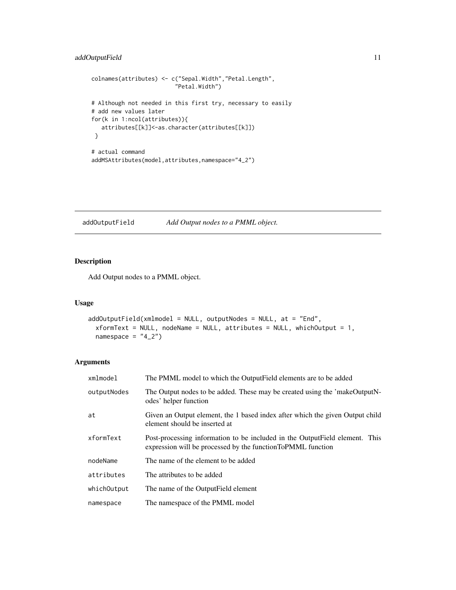```
colnames(attributes) <- c("Sepal.Width","Petal.Length",
                         "Petal.Width")
# Although not needed in this first try, necessary to easily
# add new values later
for(k in 1:ncol(attributes)){
  attributes[[k]]<-as.character(attributes[[k]])
 }
# actual command
addMSAttributes(model,attributes,namespace="4_2")
```
addOutputField *Add Output nodes to a PMML object.*

# Description

Add Output nodes to a PMML object.

# Usage

```
addOutputField(xm1model = NULL, outputNodes = NULL, at = "End",xformText = NULL, nodeName = NULL, attributes = NULL, whichOutput = 1,
 namespace = "4_2")
```
# Arguments

| xmlmodel    | The PMML model to which the OutputField elements are to be added                                                                           |
|-------------|--------------------------------------------------------------------------------------------------------------------------------------------|
| outputNodes | The Output nodes to be added. These may be created using the 'makeOutputN-<br>odes' helper function                                        |
| at          | Given an Output element, the 1 based index after which the given Output child<br>element should be inserted at                             |
| xformText   | Post-processing information to be included in the OutputField element. This<br>expression will be processed by the functionToPMML function |
| nodeName    | The name of the element to be added                                                                                                        |
| attributes  | The attributes to be added                                                                                                                 |
| whichOutput | The name of the Output Field element                                                                                                       |
| namespace   | The namespace of the PMML model                                                                                                            |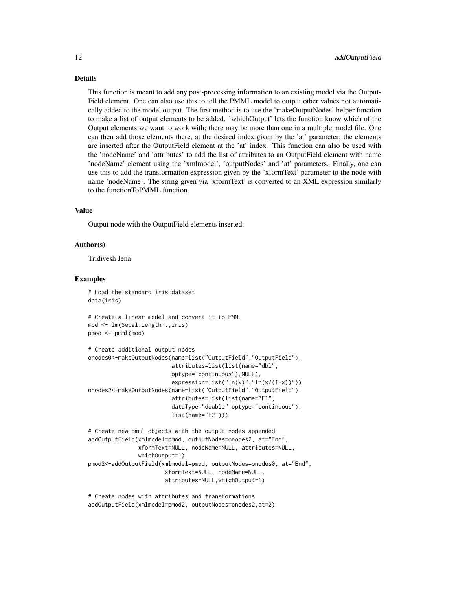# Details

This function is meant to add any post-processing information to an existing model via the Output-Field element. One can also use this to tell the PMML model to output other values not automatically added to the model output. The first method is to use the 'makeOutputNodes' helper function to make a list of output elements to be added. 'whichOutput' lets the function know which of the Output elements we want to work with; there may be more than one in a multiple model file. One can then add those elements there, at the desired index given by the 'at' parameter; the elements are inserted after the OutputField element at the 'at' index. This function can also be used with the 'nodeName' and 'attributes' to add the list of attributes to an OutputField element with name 'nodeName' element using the 'xmlmodel', 'outputNodes' and 'at' parameters. Finally, one can use this to add the transformation expression given by the 'xformText' parameter to the node with name 'nodeName'. The string given via 'xformText' is converted to an XML expression similarly to the functionToPMML function.

#### Value

Output node with the OutputField elements inserted.

#### Author(s)

Tridivesh Jena

#### Examples

```
# Load the standard iris dataset
data(iris)
# Create a linear model and convert it to PMML
mod <- lm(Sepal.Length~.,iris)
pmod <- pmml(mod)
# Create additional output nodes
onodes0<-makeOutputNodes(name=list("OutputField","OutputField"),
                         attributes=list(list(name="dbl",
                         optype="continuous"),NULL),
                         expression=list("ln(x)","ln(x/(1-x))"))
onodes2<-makeOutputNodes(name=list("OutputField","OutputField"),
                         attributes=list(list(name="F1",
                         dataType="double",optype="continuous"),
                         list(name="F2")))
# Create new pmml objects with the output nodes appended
addOutputField(xmlmodel=pmod, outputNodes=onodes2, at="End",
               xformText=NULL, nodeName=NULL, attributes=NULL,
               whichOutput=1)
pmod2<-addOutputField(xmlmodel=pmod, outputNodes=onodes0, at="End",
```
xformText=NULL, nodeName=NULL, attributes=NULL,whichOutput=1)

```
# Create nodes with attributes and transformations
addOutputField(xmlmodel=pmod2, outputNodes=onodes2,at=2)
```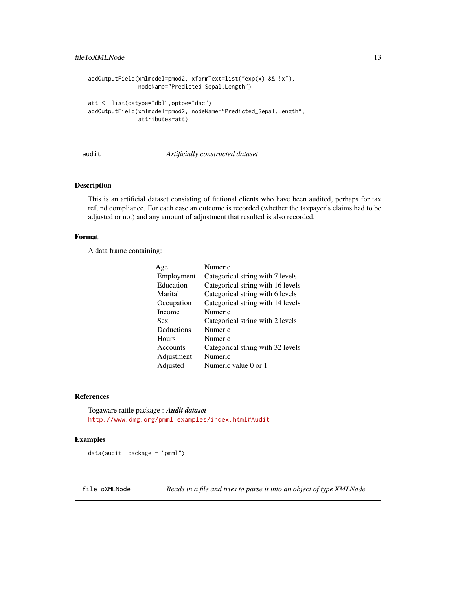```
addOutputField(xmlmodel=pmod2, xformText=list("exp(x) && !x"),
               nodeName="Predicted_Sepal.Length")
att <- list(datype="dbl",optpe="dsc")
addOutputField(xmlmodel=pmod2, nodeName="Predicted_Sepal.Length",
               attributes=att)
```
#### audit *Artificially constructed dataset*

# Description

This is an artificial dataset consisting of fictional clients who have been audited, perhaps for tax refund compliance. For each case an outcome is recorded (whether the taxpayer's claims had to be adjusted or not) and any amount of adjustment that resulted is also recorded.

# Format

A data frame containing:

| Age        | Numeric                           |
|------------|-----------------------------------|
| Employment | Categorical string with 7 levels  |
| Education  | Categorical string with 16 levels |
| Marital    | Categorical string with 6 levels  |
| Occupation | Categorical string with 14 levels |
| Income     | Numeric                           |
| Sex        | Categorical string with 2 levels  |
| Deductions | Numeric                           |
| Hours      | Numeric                           |
| Accounts   | Categorical string with 32 levels |
| Adjustment | Numeric                           |
| Adjusted   | Numeric value 0 or 1              |

#### References

Togaware rattle package : *Audit dataset* [http://www.dmg.org/pmml\\_examples/index.html#Audit](http://www.dmg.org/pmml_examples/index.html#Audit)

# Examples

data(audit, package = "pmml")

fileToXMLNode *Reads in a file and tries to parse it into an object of type XMLNode*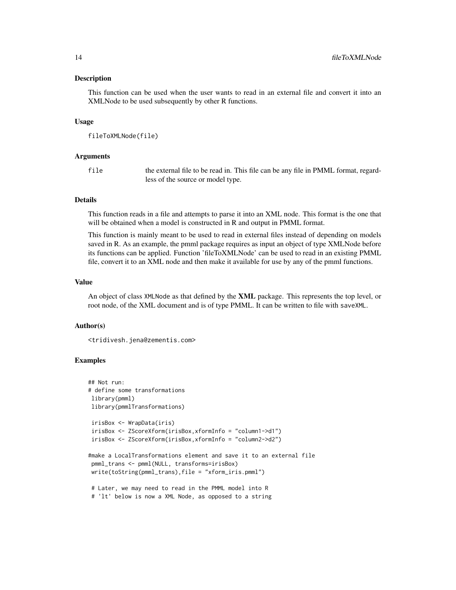This function can be used when the user wants to read in an external file and convert it into an XMLNode to be used subsequently by other R functions.

#### Usage

```
fileToXMLNode(file)
```
#### Arguments

file the external file to be read in. This file can be any file in PMML format, regardless of the source or model type.

# Details

This function reads in a file and attempts to parse it into an XML node. This format is the one that will be obtained when a model is constructed in R and output in PMML format.

This function is mainly meant to be used to read in external files instead of depending on models saved in R. As an example, the pmml package requires as input an object of type XMLNode before its functions can be applied. Function 'fileToXMLNode' can be used to read in an existing PMML file, convert it to an XML node and then make it available for use by any of the pmml functions.

# Value

An object of class XMLNode as that defined by the **XML** package. This represents the top level, or root node, of the XML document and is of type PMML. It can be written to file with saveXML.

#### Author(s)

<tridivesh.jena@zementis.com>

```
## Not run:
# define some transformations
library(pmml)
library(pmmlTransformations)
irisBox <- WrapData(iris)
irisBox <- ZScoreXform(irisBox,xformInfo = "column1->d1")
irisBox <- ZScoreXform(irisBox,xformInfo = "column2->d2")
#make a LocalTransformations element and save it to an external file
pmml_trans <- pmml(NULL, transforms=irisBox)
write(toString(pmml_trans),file = "xform_iris.pmml")
# Later, we may need to read in the PMML model into R
# 'lt' below is now a XML Node, as opposed to a string
```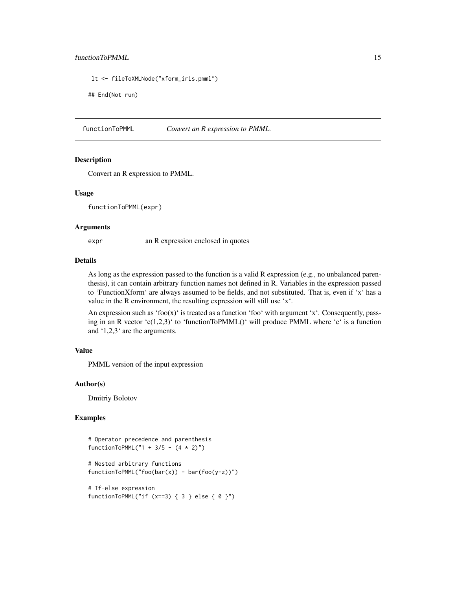# <span id="page-14-0"></span>functionToPMML 15

```
lt <- fileToXMLNode("xform_iris.pmml")
```
## End(Not run)

functionToPMML *Convert an R expression to PMML.*

# Description

Convert an R expression to PMML.

#### Usage

functionToPMML(expr)

#### **Arguments**

expr an R expression enclosed in quotes

# Details

As long as the expression passed to the function is a valid R expression (e.g., no unbalanced parenthesis), it can contain arbitrary function names not defined in R. Variables in the expression passed to 'FunctionXform' are always assumed to be fields, and not substituted. That is, even if 'x' has a value in the R environment, the resulting expression will still use 'x'.

An expression such as 'foo $(x)$ ' is treated as a function 'foo' with argument 'x'. Consequently, passing in an R vector 'c(1,2,3)' to 'functionToPMML()' will produce PMML where 'c' is a function and '1,2,3' are the arguments.

# Value

PMML version of the input expression

#### Author(s)

Dmitriy Bolotov

```
# Operator precedence and parenthesis
functionToPMML("1 + 3/5 - (4 \times 2)")
```

```
# Nested arbitrary functions
functionToPMML("foo(bar(x)) - bar(foo(y-z))")
```

```
# If-else expression
functionToPMML("if (x==3) { 3 } else { 0 }")
```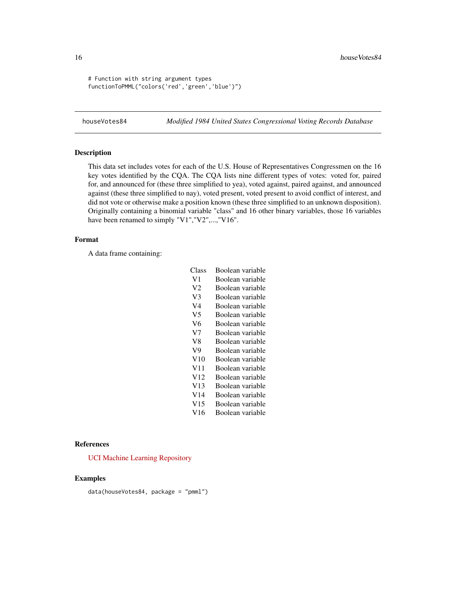```
# Function with string argument types
functionToPMML("colors('red','green','blue')")
```
houseVotes84 *Modified 1984 United States Congressional Voting Records Database*

# Description

This data set includes votes for each of the U.S. House of Representatives Congressmen on the 16 key votes identified by the CQA. The CQA lists nine different types of votes: voted for, paired for, and announced for (these three simplified to yea), voted against, paired against, and announced against (these three simplified to nay), voted present, voted present to avoid conflict of interest, and did not vote or otherwise make a position known (these three simplified to an unknown disposition). Originally containing a binomial variable "class" and 16 other binary variables, those 16 variables have been renamed to simply "V1", "V2",..., "V16".

#### Format

A data frame containing:

| Class           | Boolean variable |
|-----------------|------------------|
| V1              | Boolean variable |
| V2              | Boolean variable |
| V <sub>3</sub>  | Boolean variable |
| V4              | Boolean variable |
| V5              | Boolean variable |
| V6              | Boolean variable |
| V <sub>7</sub>  | Boolean variable |
| V <sup>8</sup>  | Boolean variable |
| V9              | Boolean variable |
| V10             | Boolean variable |
| V11             | Boolean variable |
| V <sub>12</sub> | Boolean variable |
| V13             | Boolean variable |
| V14             | Boolean variable |
| V15             | Boolean variable |
| V16             | Boolean variable |

## References

[UCI Machine Learning Repository](http://archive.ics.uci.edu/ml/datasets/Congressional+Voting+Records)

# Examples

data(houseVotes84, package = "pmml")

<span id="page-15-0"></span>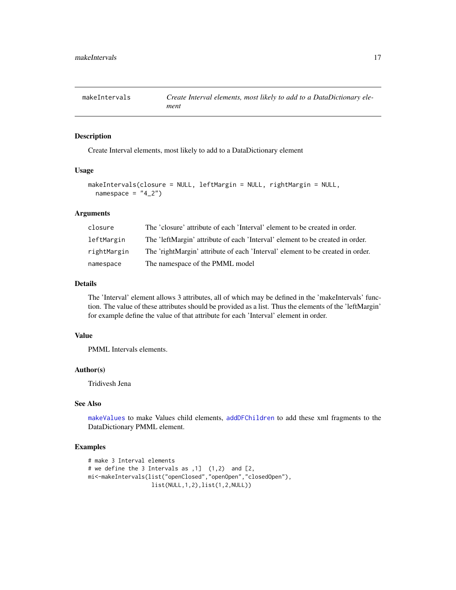<span id="page-16-1"></span><span id="page-16-0"></span>

Create Interval elements, most likely to add to a DataDictionary element

#### Usage

```
makeIntervals(closure = NULL, leftMargin = NULL, rightMargin = NULL,
 namespace = "4_2")
```
# Arguments

| closure     | The 'closure' attribute of each 'Interval' element to be created in order.     |
|-------------|--------------------------------------------------------------------------------|
| leftMargin  | The 'leftMargin' attribute of each 'Interval' element to be created in order.  |
| rightMargin | The 'rightMargin' attribute of each 'Interval' element to be created in order. |
| namespace   | The namespace of the PMML model                                                |

# Details

The 'Interval' element allows 3 attributes, all of which may be defined in the 'makeIntervals' function. The value of these attributes should be provided as a list. Thus the elements of the 'leftMargin' for example define the value of that attribute for each 'Interval' element in order.

# Value

PMML Intervals elements.

#### Author(s)

Tridivesh Jena

# See Also

[makeValues](#page-18-1) to make Values child elements, [addDFChildren](#page-5-1) to add these xml fragments to the DataDictionary PMML element.

```
# make 3 Interval elements
# we define the 3 Intervals as ,1] (1,2) and [2,
mi<-makeIntervals(list("openClosed","openOpen","closedOpen"),
                  list(NULL,1,2),list(1,2,NULL))
```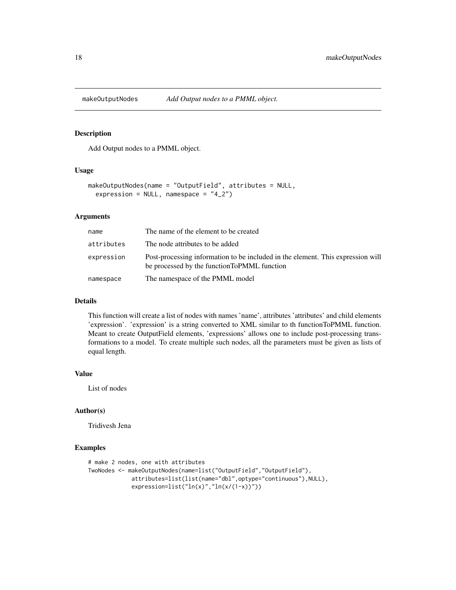<span id="page-17-0"></span>

Add Output nodes to a PMML object.

# Usage

```
makeOutputNodes(name = "OutputField", attributes = NULL,
  expression = NULL, namespace = "4_2")
```
# Arguments

| name       | The name of the element to be created                                                                                           |
|------------|---------------------------------------------------------------------------------------------------------------------------------|
| attributes | The node attributes to be added                                                                                                 |
| expression | Post-processing information to be included in the element. This expression will<br>be processed by the function ToPMML function |
| namespace  | The namespace of the PMML model                                                                                                 |

#### Details

This function will create a list of nodes with names 'name', attributes 'attributes' and child elements 'expression'. 'expression' is a string converted to XML similar to th functionToPMML function. Meant to create OutputField elements, 'expressions' allows one to include post-processing transformations to a model. To create multiple such nodes, all the parameters must be given as lists of equal length.

# Value

List of nodes

#### Author(s)

Tridivesh Jena

```
# make 2 nodes, one with attributes
TwoNodes <- makeOutputNodes(name=list("OutputField","OutputField"),
            attributes=list(list(name="dbl",optype="continuous"),NULL),
            expression=list("ln(x)","ln(x/(1-x))"))
```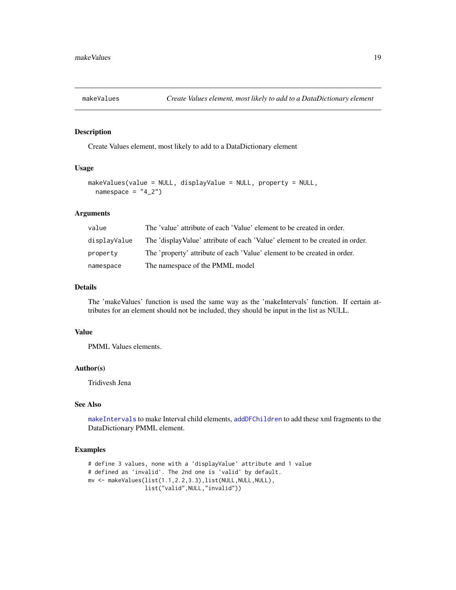<span id="page-18-1"></span><span id="page-18-0"></span>

Create Values element, most likely to add to a DataDictionary element

# Usage

```
makeValues(value = NULL, displayValue = NULL, property = NULL,
 namespace = "4_2")
```
# Arguments

| value        | The 'value' attribute of each 'Value' element to be created in order.        |
|--------------|------------------------------------------------------------------------------|
| displayValue | The 'displayValue' attribute of each 'Value' element to be created in order. |
| property     | The 'property' attribute of each 'Value' element to be created in order.     |
| namespace    | The namespace of the PMML model                                              |

# Details

The 'makeValues' function is used the same way as the 'makeIntervals' function. If certain attributes for an element should not be included, they should be input in the list as NULL.

# Value

PMML Values elements.

# Author(s)

Tridivesh Jena

# See Also

[makeIntervals](#page-16-1) to make Interval child elements, [addDFChildren](#page-5-1) to add these xml fragments to the DataDictionary PMML element.

```
# define 3 values, none with a 'displayValue' attribute and 1 value
# defined as 'invalid'. The 2nd one is 'valid' by default.
mv <- makeValues(list(1.1,2.2,3.3),list(NULL,NULL,NULL),
                list("valid",NULL,"invalid"))
```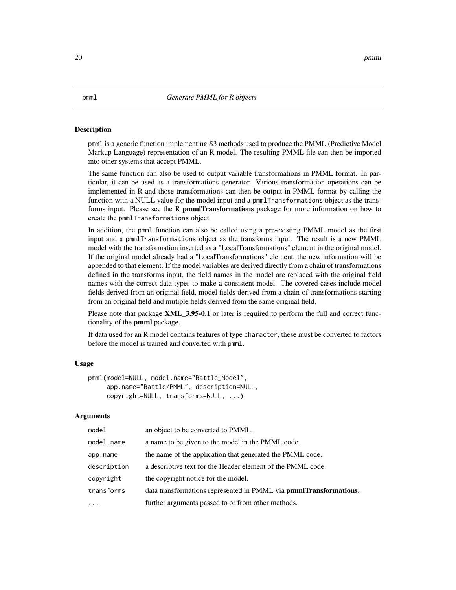<span id="page-19-1"></span><span id="page-19-0"></span>pmml is a generic function implementing S3 methods used to produce the PMML (Predictive Model Markup Language) representation of an R model. The resulting PMML file can then be imported into other systems that accept PMML.

The same function can also be used to output variable transformations in PMML format. In particular, it can be used as a transformations generator. Various transformation operations can be implemented in R and those transformations can then be output in PMML format by calling the function with a NULL value for the model input and a pmmlTransformations object as the transforms input. Please see the R pmmlTransformations package for more information on how to create the pmmlTransformations object.

In addition, the pmml function can also be called using a pre-existing PMML model as the first input and a pmmlTransformations object as the transforms input. The result is a new PMML model with the transformation inserted as a "LocalTransformations" element in the original model. If the original model already had a "LocalTransformations" element, the new information will be appended to that element. If the model variables are derived directly from a chain of transformations defined in the transforms input, the field names in the model are replaced with the original field names with the correct data types to make a consistent model. The covered cases include model fields derived from an original field, model fields derived from a chain of transformations starting from an original field and mutiple fields derived from the same original field.

Please note that package **XML\_3.95-0.1** or later is required to perform the full and correct functionality of the **pmml** package.

If data used for an R model contains features of type character, these must be converted to factors before the model is trained and converted with pmml.

# Usage

```
pmml(model=NULL, model.name="Rattle_Model",
     app.name="Rattle/PMML", description=NULL,
     copyright=NULL, transforms=NULL, ...)
```
#### Arguments

| a name to be given to the model in the PMML code.<br>model.name<br>the name of the application that generated the PMML code.<br>app.name<br>description<br>a descriptive text for the Header element of the PMML code.<br>the copyright notice for the model.<br>copyright<br>transforms<br>further arguments passed to or from other methods. | model | an object to be converted to PMML.                                |
|------------------------------------------------------------------------------------------------------------------------------------------------------------------------------------------------------------------------------------------------------------------------------------------------------------------------------------------------|-------|-------------------------------------------------------------------|
|                                                                                                                                                                                                                                                                                                                                                |       |                                                                   |
|                                                                                                                                                                                                                                                                                                                                                |       |                                                                   |
|                                                                                                                                                                                                                                                                                                                                                |       |                                                                   |
|                                                                                                                                                                                                                                                                                                                                                |       |                                                                   |
|                                                                                                                                                                                                                                                                                                                                                |       | data transformations represented in PMML via pmmlTransformations. |
|                                                                                                                                                                                                                                                                                                                                                |       |                                                                   |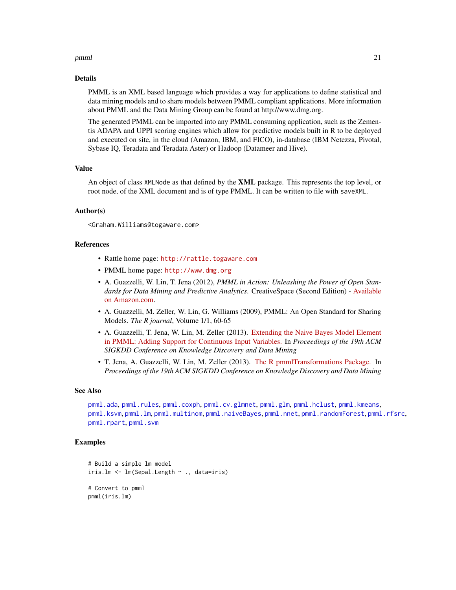#### <span id="page-20-0"></span>pmml 21

# Details

PMML is an XML based language which provides a way for applications to define statistical and data mining models and to share models between PMML compliant applications. More information about PMML and the Data Mining Group can be found at http://www.dmg.org.

The generated PMML can be imported into any PMML consuming application, such as the Zementis ADAPA and UPPI scoring engines which allow for predictive models built in R to be deployed and executed on site, in the cloud (Amazon, IBM, and FICO), in-database (IBM Netezza, Pivotal, Sybase IQ, Teradata and Teradata Aster) or Hadoop (Datameer and Hive).

# Value

An object of class XMLNode as that defined by the **XML** package. This represents the top level, or root node, of the XML document and is of type PMML. It can be written to file with saveXML.

# Author(s)

<Graham.Williams@togaware.com>

# References

- Rattle home page: <http://rattle.togaware.com>
- PMML home page: <http://www.dmg.org>
- A. Guazzelli, W. Lin, T. Jena (2012), *PMML in Action: Unleashing the Power of Open Standards for Data Mining and Predictive Analytics*. CreativeSpace (Second Edition) - [Available](http://www.amazon.com/dp/1470003244) [on Amazon.com.](http://www.amazon.com/dp/1470003244)
- A. Guazzelli, M. Zeller, W. Lin, G. Williams (2009), PMML: An Open Standard for Sharing Models. *The R journal*, Volume 1/1, 60-65
- A. Guazzelli, T. Jena, W. Lin, M. Zeller (2013). [Extending the Naive Bayes Model Element](http://kdd13pmml.files.wordpress.com/2013/07/guazzelli_et_al.pdf) [in PMML: Adding Support for Continuous Input Variables.](http://kdd13pmml.files.wordpress.com/2013/07/guazzelli_et_al.pdf) In *Proceedings of the 19th ACM SIGKDD Conference on Knowledge Discovery and Data Mining*
- T. Jena, A. Guazzelli, W. Lin, M. Zeller (2013). [The R pmmlTransformations Package.](http://kdd13pmml.files.wordpress.com/2013/07/jena_et_al.pdf) In *Proceedings of the 19th ACM SIGKDD Conference on Knowledge Discovery and Data Mining*

#### See Also

[pmml.ada](#page-21-1), [pmml.rules](#page-38-1), [pmml.coxph](#page-22-1), [pmml.cv.glmnet](#page-23-1), [pmml.glm](#page-25-1), [pmml.hclust](#page-26-1), [pmml.kmeans](#page-27-1), [pmml.ksvm](#page-29-1), [pmml.lm](#page-30-1), [pmml.multinom](#page-31-1), [pmml.naiveBayes](#page-32-1), [pmml.nnet](#page-34-1), [pmml.randomForest](#page-35-1), [pmml.rfsrc](#page-36-1), [pmml.rpart](#page-37-1), [pmml.svm](#page-39-1)

```
# Build a simple lm model
iris.lm <- lm(Sepal.Length ~ ., data=iris)
# Convert to pmml
pmml(iris.lm)
```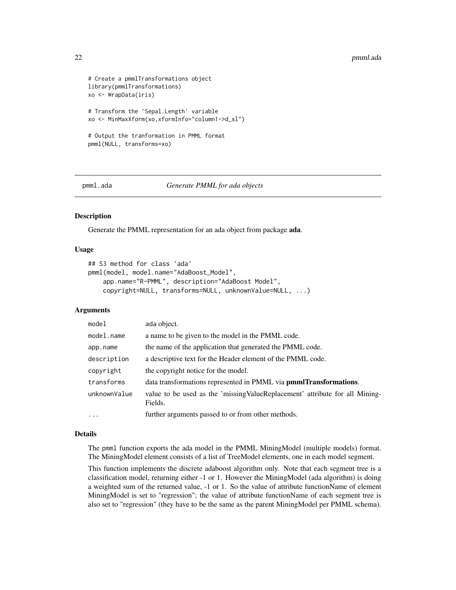```
# Create a pmmlTransformations object
library(pmmlTransformations)
xo <- WrapData(iris)
# Transform the 'Sepal.Length' variable
xo <- MinMaxXform(xo,xformInfo="column1->d_sl")
# Output the tranformation in PMML format
pmml(NULL, transforms=xo)
```
<span id="page-21-1"></span>

pmml.ada *Generate PMML for ada objects*

# Description

Generate the PMML representation for an ada object from package ada.

# Usage

```
## S3 method for class 'ada'
pmml(model, model.name="AdaBoost_Model",
    app.name="R-PMML", description="AdaBoost Model",
    copyright=NULL, transforms=NULL, unknownValue=NULL, ...)
```
#### Arguments

| model        | ada object.                                                                             |
|--------------|-----------------------------------------------------------------------------------------|
| model.name   | a name to be given to the model in the PMML code.                                       |
| app.name     | the name of the application that generated the PMML code.                               |
| description  | a descriptive text for the Header element of the PMML code.                             |
| copyright    | the copyright notice for the model.                                                     |
| transforms   | data transformations represented in PMML via <b>pmmlTransformations</b> .               |
| unknownValue | value to be used as the 'missing ValueReplacement' attribute for all Mining-<br>Fields. |
| $\ddots$     | further arguments passed to or from other methods.                                      |

#### Details

The pmml function exports the ada model in the PMML MiningModel (multiple models) format. The MiningModel element consists of a list of TreeModel elements, one in each model segment.

This function implements the discrete adaboost algorithm only. Note that each segment tree is a classification model, returning either -1 or 1. However the MiningModel (ada algorithm) is doing a weighted sum of the returned value, -1 or 1. So the value of attribute functionName of element MiningModel is set to "regression"; the value of attribute functionName of each segment tree is also set to "regression" (they have to be the same as the parent MiningModel per PMML schema).

<span id="page-21-0"></span>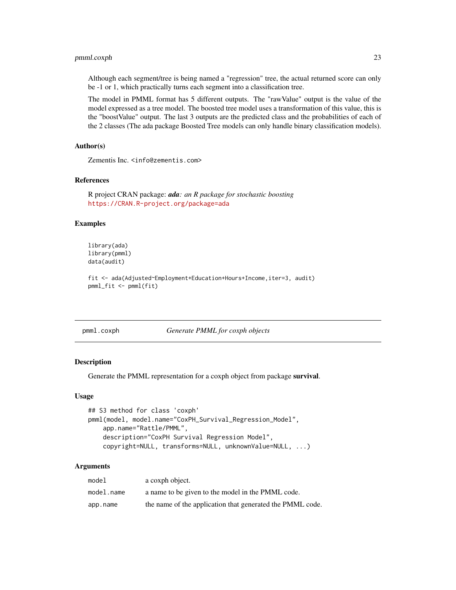# <span id="page-22-0"></span>pmml.coxph 23

Although each segment/tree is being named a "regression" tree, the actual returned score can only be -1 or 1, which practically turns each segment into a classification tree.

The model in PMML format has 5 different outputs. The "rawValue" output is the value of the model expressed as a tree model. The boosted tree model uses a transformation of this value, this is the "boostValue" output. The last 3 outputs are the predicted class and the probabilities of each of the 2 classes (The ada package Boosted Tree models can only handle binary classification models).

# Author(s)

Zementis Inc. <info@zementis.com>

# References

R project CRAN package: *ada: an R package for stochastic boosting* <https://CRAN.R-project.org/package=ada>

#### Examples

```
library(ada)
library(pmml)
data(audit)
```
fit <- ada(Adjusted~Employment+Education+Hours+Income,iter=3, audit) pmml\_fit <- pmml(fit)

<span id="page-22-1"></span>pmml.coxph *Generate PMML for coxph objects*

#### Description

Generate the PMML representation for a coxph object from package survival.

#### Usage

```
## S3 method for class 'coxph'
pmml(model, model.name="CoxPH_Survival_Regression_Model",
   app.name="Rattle/PMML",
   description="CoxPH Survival Regression Model",
   copyright=NULL, transforms=NULL, unknownValue=NULL, ...)
```
# Arguments

| model      | a coxph object.                                           |
|------------|-----------------------------------------------------------|
| model.name | a name to be given to the model in the PMML code.         |
| app.name   | the name of the application that generated the PMML code. |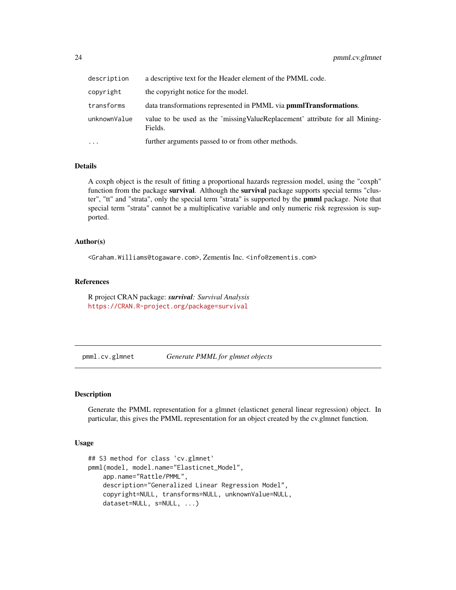<span id="page-23-0"></span>

| description  | a descriptive text for the Header element of the PMML code.                             |
|--------------|-----------------------------------------------------------------------------------------|
| copyright    | the copyright notice for the model.                                                     |
| transforms   | data transformations represented in PMML via <b>pmmlTransformations</b> .               |
| unknownValue | value to be used as the 'missing ValueReplacement' attribute for all Mining-<br>Fields. |
| $\cdots$     | further arguments passed to or from other methods.                                      |

# **Details**

A coxph object is the result of fitting a proportional hazards regression model, using the "coxph" function from the package survival. Although the survival package supports special terms "cluster", "tt" and "strata", only the special term "strata" is supported by the pmml package. Note that special term "strata" cannot be a multiplicative variable and only numeric risk regression is supported.

# Author(s)

<Graham.Williams@togaware.com>, Zementis Inc. <info@zementis.com>

#### References

R project CRAN package: *survival: Survival Analysis* <https://CRAN.R-project.org/package=survival>

<span id="page-23-1"></span>pmml.cv.glmnet *Generate PMML for glmnet objects*

# Description

Generate the PMML representation for a glmnet (elasticnet general linear regression) object. In particular, this gives the PMML representation for an object created by the cv.glmnet function.

# Usage

```
## S3 method for class 'cv.glmnet'
pmml(model, model.name="Elasticnet_Model",
   app.name="Rattle/PMML",
   description="Generalized Linear Regression Model",
   copyright=NULL, transforms=NULL, unknownValue=NULL,
    dataset=NULL, s=NULL, ...)
```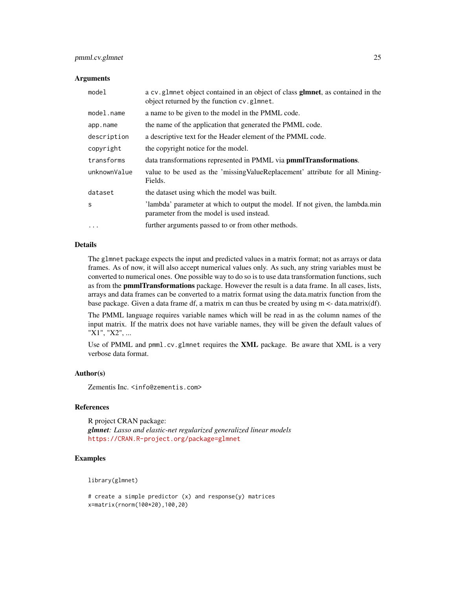# pmml.cv.glmnet 25

#### **Arguments**

| model        | a cv.glmnet object contained in an object of class <b>glmnet</b> , as contained in the<br>object returned by the function cv.glmnet. |
|--------------|--------------------------------------------------------------------------------------------------------------------------------------|
| model.name   | a name to be given to the model in the PMML code.                                                                                    |
| app.name     | the name of the application that generated the PMML code.                                                                            |
| description  | a descriptive text for the Header element of the PMML code.                                                                          |
| copyright    | the copyright notice for the model.                                                                                                  |
| transforms   | data transformations represented in PMML via pmmlTransformations.                                                                    |
| unknownValue | value to be used as the 'missing ValueReplacement' attribute for all Mining-<br>Fields.                                              |
| dataset      | the dataset using which the model was built.                                                                                         |
| S            | 'lambda' parameter at which to output the model. If not given, the lambda.min<br>parameter from the model is used instead.           |
| $\cdots$     | further arguments passed to or from other methods.                                                                                   |

# Details

The glmnet package expects the input and predicted values in a matrix format; not as arrays or data frames. As of now, it will also accept numerical values only. As such, any string variables must be converted to numerical ones. One possible way to do so is to use data transformation functions, such as from the **pmmlTransformations** package. However the result is a data frame. In all cases, lists, arrays and data frames can be converted to a matrix format using the data.matrix function from the base package. Given a data frame df, a matrix m can thus be created by using m <- data.matrix(df).

The PMML language requires variable names which will be read in as the column names of the input matrix. If the matrix does not have variable names, they will be given the default values of "X1", "X2", ...

Use of PMML and pmml.cv.glmnet requires the **XML** package. Be aware that XML is a very verbose data format.

#### Author(s)

Zementis Inc. <info@zementis.com>

#### References

R project CRAN package: *glmnet: Lasso and elastic-net regularized generalized linear models* <https://CRAN.R-project.org/package=glmnet>

# Examples

library(glmnet)

# create a simple predictor (x) and response(y) matrices x=matrix(rnorm(100\*20),100,20)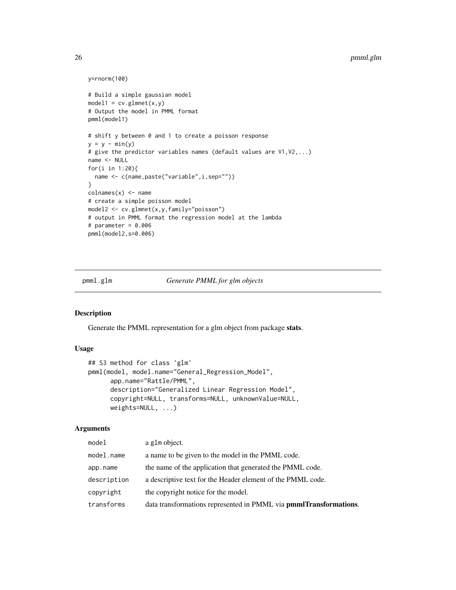```
y=rnorm(100)
# Build a simple gaussian model
model1 = cv.glmnet(x,y)# Output the model in PMML format
pmml(model1)
# shift y between 0 and 1 to create a poisson response
y = y - min(y)# give the predictor variables names (default values are V1,V2,...)
name <- NULL
for(i in 1:20){
  name <- c(name,paste("variable",i,sep=""))
}
colnames(x) <- name
# create a simple poisson model
model2 <- cv.glmnet(x,y,family="poisson")
# output in PMML format the regression model at the lambda
# parameter = 0.006
pmml(model2,s=0.006)
```
#### <span id="page-25-1"></span>pmml.glm *Generate PMML for glm objects*

#### Description

Generate the PMML representation for a glm object from package stats.

# Usage

```
## S3 method for class 'glm'
pmml(model, model.name="General_Regression_Model",
     app.name="Rattle/PMML",
     description="Generalized Linear Regression Model",
     copyright=NULL, transforms=NULL, unknownValue=NULL,
     weights=NULL, ...)
```
# Arguments

| model       | a g1m object.                                                     |
|-------------|-------------------------------------------------------------------|
| model.name  | a name to be given to the model in the PMML code.                 |
| app.name    | the name of the application that generated the PMML code.         |
| description | a descriptive text for the Header element of the PMML code.       |
| copyright   | the copyright notice for the model.                               |
| transforms  | data transformations represented in PMML via pmmlTransformations. |

<span id="page-25-0"></span>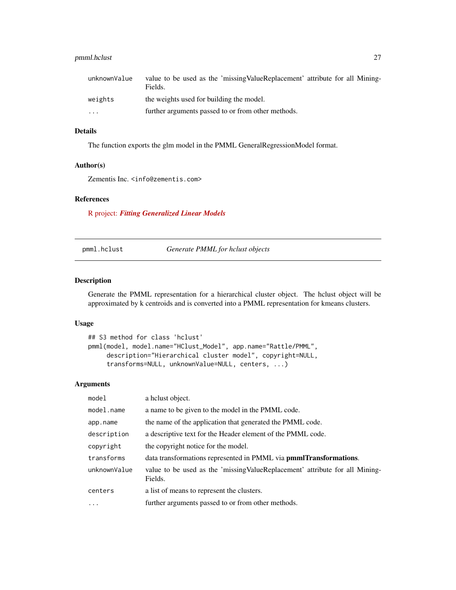# <span id="page-26-0"></span>pmml.hclust 27

| unknownValue | value to be used as the 'missing ValueReplacement' attribute for all Mining-<br>Fields. |
|--------------|-----------------------------------------------------------------------------------------|
| weights      | the weights used for building the model.                                                |
| $\cdots$     | further arguments passed to or from other methods.                                      |

# Details

The function exports the glm model in the PMML GeneralRegressionModel format.

# Author(s)

Zementis Inc. <info@zementis.com>

# References

R project: *[Fitting Generalized Linear Models](http://stat.ethz.ch/R-manual/R-devel/library/stats/html/glm.html)*

<span id="page-26-1"></span>pmml.hclust *Generate PMML for hclust objects*

# Description

Generate the PMML representation for a hierarchical cluster object. The hclust object will be approximated by k centroids and is converted into a PMML representation for kmeans clusters.

# Usage

```
## S3 method for class 'hclust'
pmml(model, model.name="HClust_Model", app.name="Rattle/PMML",
     description="Hierarchical cluster model", copyright=NULL,
     transforms=NULL, unknownValue=NULL, centers, ...)
```
# Arguments

| model        | a helust object.                                                                        |
|--------------|-----------------------------------------------------------------------------------------|
| model.name   | a name to be given to the model in the PMML code.                                       |
| app.name     | the name of the application that generated the PMML code.                               |
| description  | a descriptive text for the Header element of the PMML code.                             |
| copyright    | the copyright notice for the model.                                                     |
| transforms   | data transformations represented in PMML via <b>pmmlTransformations</b> .               |
| unknownValue | value to be used as the 'missing ValueReplacement' attribute for all Mining-<br>Fields. |
| centers      | a list of means to represent the clusters.                                              |
| $\ddots$ .   | further arguments passed to or from other methods.                                      |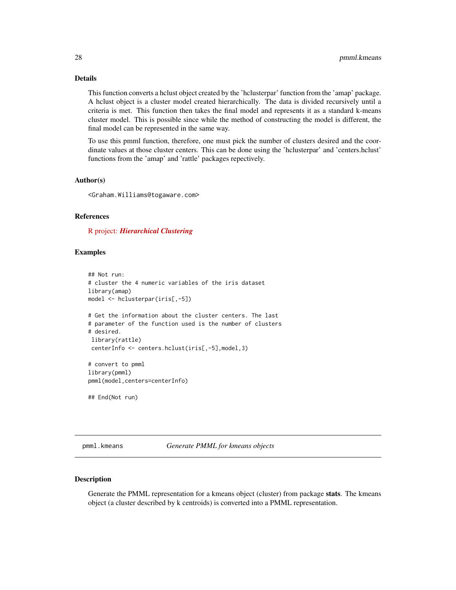# <span id="page-27-0"></span>Details

This function converts a hclust object created by the 'hclusterpar' function from the 'amap' package. A hclust object is a cluster model created hierarchically. The data is divided recursively until a criteria is met. This function then takes the final model and represents it as a standard k-means cluster model. This is possible since while the method of constructing the model is different, the final model can be represented in the same way.

To use this pmml function, therefore, one must pick the number of clusters desired and the coordinate values at those cluster centers. This can be done using the 'hclusterpar' and 'centers.hclust' functions from the 'amap' and 'rattle' packages repectively.

#### Author(s)

<Graham.Williams@togaware.com>

# References

R project: *[Hierarchical Clustering](http://stat.ethz.ch/R-manual/R-devel/library/stats/html/hclust.html)*

# Examples

```
## Not run:
# cluster the 4 numeric variables of the iris dataset
library(amap)
model <- hclusterpar(iris[,-5])
# Get the information about the cluster centers. The last
# parameter of the function used is the number of clusters
# desired.
library(rattle)
 centerInfo <- centers.hclust(iris[,-5],model,3)
# convert to pmml
library(pmml)
pmml(model,centers=centerInfo)
```
## End(Not run)

<span id="page-27-1"></span>pmml.kmeans *Generate PMML for kmeans objects*

#### Description

Generate the PMML representation for a kmeans object (cluster) from package stats. The kmeans object (a cluster described by k centroids) is converted into a PMML representation.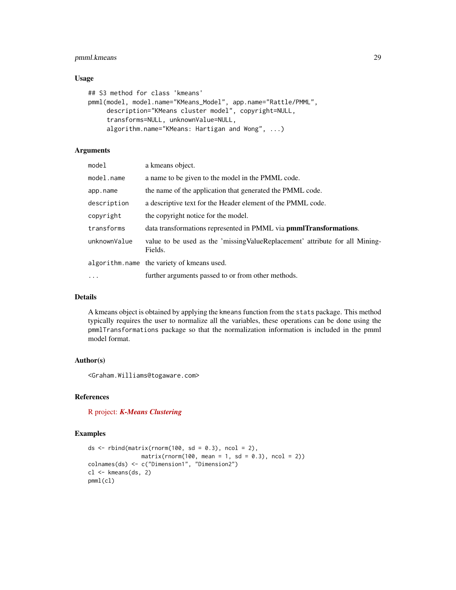# pmml.kmeans 29

# Usage

```
## S3 method for class 'kmeans'
pmml(model, model.name="KMeans_Model", app.name="Rattle/PMML",
     description="KMeans cluster model", copyright=NULL,
     transforms=NULL, unknownValue=NULL,
     algorithm.name="KMeans: Hartigan and Wong", ...)
```
# Arguments

| model        | a kmeans object.                                                                        |
|--------------|-----------------------------------------------------------------------------------------|
| model.name   | a name to be given to the model in the PMML code.                                       |
| app.name     | the name of the application that generated the PMML code.                               |
| description  | a descriptive text for the Header element of the PMML code.                             |
| copyright    | the copyright notice for the model.                                                     |
| transforms   | data transformations represented in PMML via <b>pmmlTransformations</b> .               |
| unknownValue | value to be used as the 'missing ValueReplacement' attribute for all Mining-<br>Fields. |
|              | algorithm.name the variety of kmeans used.                                              |
| $\ddots$     | further arguments passed to or from other methods.                                      |

# Details

A kmeans object is obtained by applying the kmeans function from the stats package. This method typically requires the user to normalize all the variables, these operations can be done using the pmmlTransformations package so that the normalization information is included in the pmml model format.

# Author(s)

<Graham.Williams@togaware.com>

# References

R project: *[K-Means Clustering](http://stat.ethz.ch/R-manual/R-devel/library/stats/html/kmeans.html)*

```
ds \le rbind(matrix(rnorm(100, sd = 0.3), ncol = 2),
               matrix(rnorm(100, mean = 1, sd = 0.3), ncol = 2))colnames(ds) <- c("Dimension1", "Dimension2")
cl <- kmeans(ds, 2)
pmml(cl)
```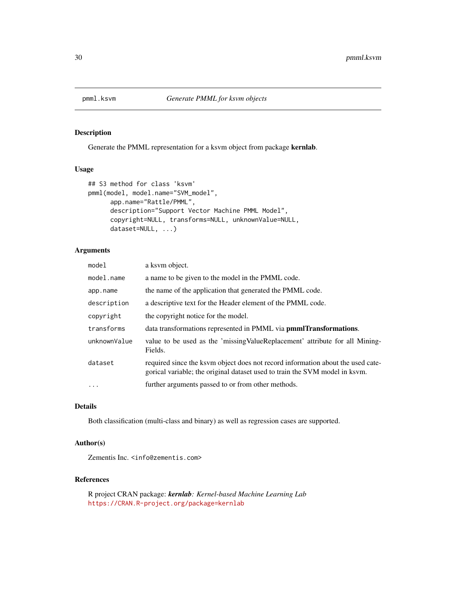<span id="page-29-1"></span><span id="page-29-0"></span>

Generate the PMML representation for a ksvm object from package kernlab.

# Usage

```
## S3 method for class 'ksvm'
pmml(model, model.name="SVM_model",
     app.name="Rattle/PMML",
     description="Support Vector Machine PMML Model",
     copyright=NULL, transforms=NULL, unknownValue=NULL,
     dataset=NULL, ...)
```
# Arguments

| model        | a ksym object.                                                                                                                                                 |
|--------------|----------------------------------------------------------------------------------------------------------------------------------------------------------------|
| model.name   | a name to be given to the model in the PMML code.                                                                                                              |
| app.name     | the name of the application that generated the PMML code.                                                                                                      |
| description  | a descriptive text for the Header element of the PMML code.                                                                                                    |
| copyright    | the copyright notice for the model.                                                                                                                            |
| transforms   | data transformations represented in PMML via <b>pmmlTransformations</b> .                                                                                      |
| unknownValue | value to be used as the 'missing ValueReplacement' attribute for all Mining-<br>Fields.                                                                        |
| dataset      | required since the ksym object does not record information about the used cate-<br>gorical variable; the original dataset used to train the SVM model in ksvm. |
| .            | further arguments passed to or from other methods.                                                                                                             |
|              |                                                                                                                                                                |

# Details

Both classification (multi-class and binary) as well as regression cases are supported.

# Author(s)

Zementis Inc. <info@zementis.com>

# References

R project CRAN package: *kernlab: Kernel-based Machine Learning Lab* <https://CRAN.R-project.org/package=kernlab>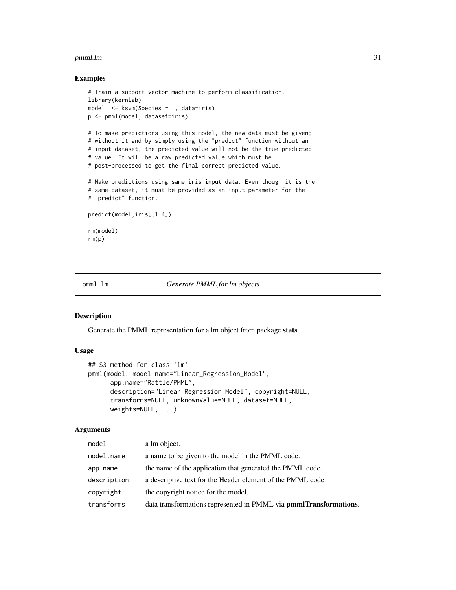#### <span id="page-30-0"></span>pmml.lm 31

# Examples

```
# Train a support vector machine to perform classification.
library(kernlab)
model <- ksvm(Species ~ ., data=iris)
p <- pmml(model, dataset=iris)
# To make predictions using this model, the new data must be given;
# without it and by simply using the "predict" function without an
# input dataset, the predicted value will not be the true predicted
# value. It will be a raw predicted value which must be
# post-processed to get the final correct predicted value.
# Make predictions using same iris input data. Even though it is the
# same dataset, it must be provided as an input parameter for the
# "predict" function.
predict(model,iris[,1:4])
rm(model)
rm(p)
```
# <span id="page-30-1"></span>pmml.lm *Generate PMML for lm objects*

#### Description

Generate the PMML representation for a lm object from package stats.

#### Usage

```
## S3 method for class 'lm'
pmml(model, model.name="Linear_Regression_Model",
     app.name="Rattle/PMML",
     description="Linear Regression Model", copyright=NULL,
     transforms=NULL, unknownValue=NULL, dataset=NULL,
     weights=NULL, ...)
```
# Arguments

| model       | a lm object.                                                              |
|-------------|---------------------------------------------------------------------------|
| model.name  | a name to be given to the model in the PMML code.                         |
| app.name    | the name of the application that generated the PMML code.                 |
| description | a descriptive text for the Header element of the PMML code.               |
| copyright   | the copyright notice for the model.                                       |
| transforms  | data transformations represented in PMML via <b>pmmlTransformations</b> . |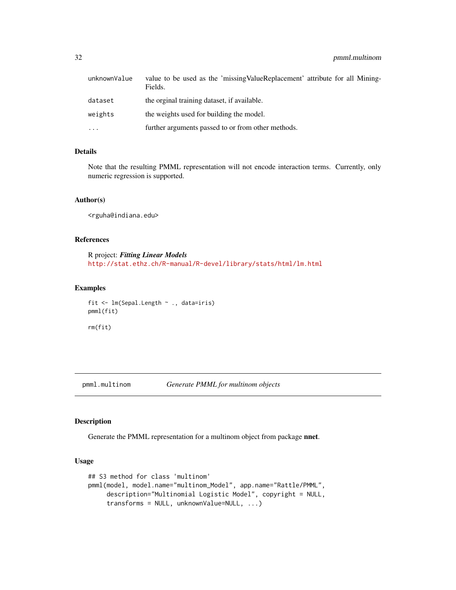<span id="page-31-0"></span>

| unknownValue | value to be used as the 'missing ValueReplacement' attribute for all Mining-<br>Fields. |
|--------------|-----------------------------------------------------------------------------------------|
| dataset      | the orginal training dataset, if available.                                             |
| weights      | the weights used for building the model.                                                |
| $\cdots$     | further arguments passed to or from other methods.                                      |

# Details

Note that the resulting PMML representation will not encode interaction terms. Currently, only numeric regression is supported.

#### Author(s)

<rguha@indiana.edu>

#### References

R project: *Fitting Linear Models* <http://stat.ethz.ch/R-manual/R-devel/library/stats/html/lm.html>

# Examples

```
fit <- lm(Sepal.Length ~ ., data=iris)
pmml(fit)
rm(fit)
```
<span id="page-31-1"></span>pmml.multinom *Generate PMML for multinom objects*

# Description

Generate the PMML representation for a multinom object from package nnet.

# Usage

```
## S3 method for class 'multinom'
pmml(model, model.name="multinom_Model", app.name="Rattle/PMML",
     description="Multinomial Logistic Model", copyright = NULL,
     transforms = NULL, unknownValue=NULL, ...)
```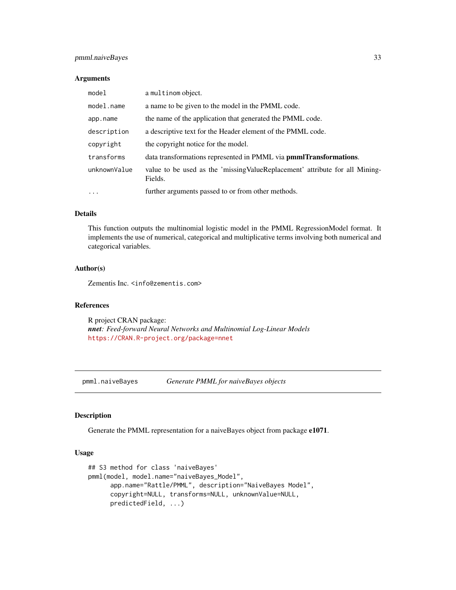# <span id="page-32-0"></span>pmml.naiveBayes 33

# Arguments

| model        | a multinom object.                                                                      |  |
|--------------|-----------------------------------------------------------------------------------------|--|
| model.name   | a name to be given to the model in the PMML code.                                       |  |
| app.name     | the name of the application that generated the PMML code.                               |  |
| description  | a descriptive text for the Header element of the PMML code.                             |  |
| copyright    | the copyright notice for the model.                                                     |  |
| transforms   | data transformations represented in PMML via <b>pmmlTransformations</b> .               |  |
| unknownValue | value to be used as the 'missing ValueReplacement' attribute for all Mining-<br>Fields. |  |
| $\ddots$ .   | further arguments passed to or from other methods.                                      |  |

# Details

This function outputs the multinomial logistic model in the PMML RegressionModel format. It implements the use of numerical, categorical and multiplicative terms involving both numerical and categorical variables.

# Author(s)

Zementis Inc. <info@zementis.com>

# References

R project CRAN package: *nnet: Feed-forward Neural Networks and Multinomial Log-Linear Models* <https://CRAN.R-project.org/package=nnet>

<span id="page-32-1"></span>pmml.naiveBayes *Generate PMML for naiveBayes objects*

# Description

Generate the PMML representation for a naiveBayes object from package e1071.

### Usage

```
## S3 method for class 'naiveBayes'
pmml(model, model.name="naiveBayes_Model",
     app.name="Rattle/PMML", description="NaiveBayes Model",
     copyright=NULL, transforms=NULL, unknownValue=NULL,
     predictedField, ...)
```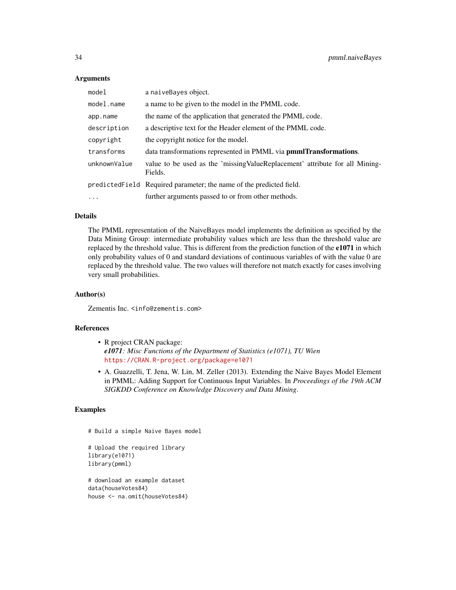# Arguments

| model        | a naiveBayes object.                                                                    |  |
|--------------|-----------------------------------------------------------------------------------------|--|
| model.name   | a name to be given to the model in the PMML code.                                       |  |
| app.name     | the name of the application that generated the PMML code.                               |  |
| description  | a descriptive text for the Header element of the PMML code.                             |  |
| copyright    | the copyright notice for the model.                                                     |  |
| transforms   | data transformations represented in PMML via <b>pmmlTransformations</b> .               |  |
| unknownValue | value to be used as the 'missing ValueReplacement' attribute for all Mining-<br>Fields. |  |
|              | predicted Field Required parameter; the name of the predicted field.                    |  |
| $\cdot$      | further arguments passed to or from other methods.                                      |  |

# Details

The PMML representation of the NaiveBayes model implements the definition as specified by the Data Mining Group: intermediate probability values which are less than the threshold value are replaced by the threshold value. This is different from the prediction function of the e1071 in which only probability values of 0 and standard deviations of continuous variables of with the value 0 are replaced by the threshold value. The two values will therefore not match exactly for cases involving very small probabilities.

# Author(s)

Zementis Inc. <info@zementis.com>

#### References

- R project CRAN package: *e1071: Misc Functions of the Department of Statistics (e1071), TU Wien* <https://CRAN.R-project.org/package=e1071>
- A. Guazzelli, T. Jena, W. Lin, M. Zeller (2013). Extending the Naive Bayes Model Element in PMML: Adding Support for Continuous Input Variables. In *Proceedings of the 19th ACM SIGKDD Conference on Knowledge Discovery and Data Mining*.

# Examples

```
# Build a simple Naive Bayes model
```

```
# Upload the required library
library(e1071)
library(pmml)
```
# download an example dataset data(houseVotes84) house <- na.omit(houseVotes84)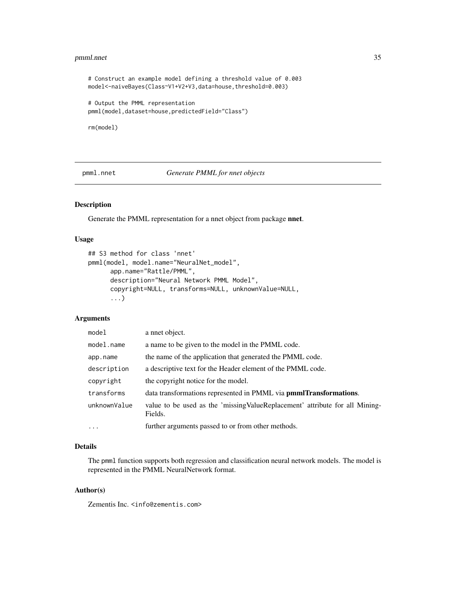#### <span id="page-34-0"></span>pmml.nnet 35

# Construct an example model defining a threshold value of 0.003 model<-naiveBayes(Class~V1+V2+V3,data=house,threshold=0.003) # Output the PMML representation

```
pmml(model,dataset=house,predictedField="Class")
```
rm(model)

<span id="page-34-1"></span>pmml.nnet *Generate PMML for nnet objects*

# Description

Generate the PMML representation for a nnet object from package nnet.

#### Usage

```
## S3 method for class 'nnet'
pmml(model, model.name="NeuralNet_model",
      app.name="Rattle/PMML",
      description="Neural Network PMML Model",
      copyright=NULL, transforms=NULL, unknownValue=NULL,
      ...)
```
# Arguments

| model        | a nnet object.                                                                          |  |
|--------------|-----------------------------------------------------------------------------------------|--|
| model.name   | a name to be given to the model in the PMML code.                                       |  |
| app.name     | the name of the application that generated the PMML code.                               |  |
| description  | a descriptive text for the Header element of the PMML code.                             |  |
| copyright    | the copyright notice for the model.                                                     |  |
| transforms   | data transformations represented in PMML via <b>pmmlTransformations</b> .               |  |
| unknownValue | value to be used as the 'missing ValueReplacement' attribute for all Mining-<br>Fields. |  |
| $\ddots$ .   | further arguments passed to or from other methods.                                      |  |

# Details

The pmml function supports both regression and classification neural network models. The model is represented in the PMML NeuralNetwork format.

# Author(s)

Zementis Inc. <info@zementis.com>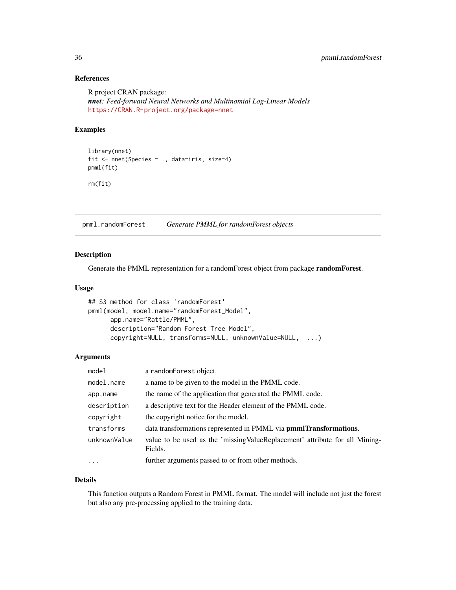# References

R project CRAN package: *nnet: Feed-forward Neural Networks and Multinomial Log-Linear Models* <https://CRAN.R-project.org/package=nnet>

# Examples

```
library(nnet)
fit <- nnet(Species ~ ., data=iris, size=4)
pmml(fit)
rm(fit)
```
<span id="page-35-1"></span>pmml.randomForest *Generate PMML for randomForest objects*

# Description

Generate the PMML representation for a randomForest object from package randomForest.

# Usage

```
## S3 method for class 'randomForest'
pmml(model, model.name="randomForest_Model",
     app.name="Rattle/PMML",
     description="Random Forest Tree Model",
     copyright=NULL, transforms=NULL, unknownValue=NULL, ...)
```
# Arguments

| model        | a randomForest object.                                                                  |  |
|--------------|-----------------------------------------------------------------------------------------|--|
| model.name   | a name to be given to the model in the PMML code.                                       |  |
| app.name     | the name of the application that generated the PMML code.                               |  |
| description  | a descriptive text for the Header element of the PMML code.                             |  |
| copyright    | the copyright notice for the model.                                                     |  |
| transforms   | data transformations represented in PMML via <b>pmmlTransformations</b> .               |  |
| unknownValue | value to be used as the 'missing ValueReplacement' attribute for all Mining-<br>Fields. |  |
| $\cdots$     | further arguments passed to or from other methods.                                      |  |

# Details

This function outputs a Random Forest in PMML format. The model will include not just the forest but also any pre-processing applied to the training data.

<span id="page-35-0"></span>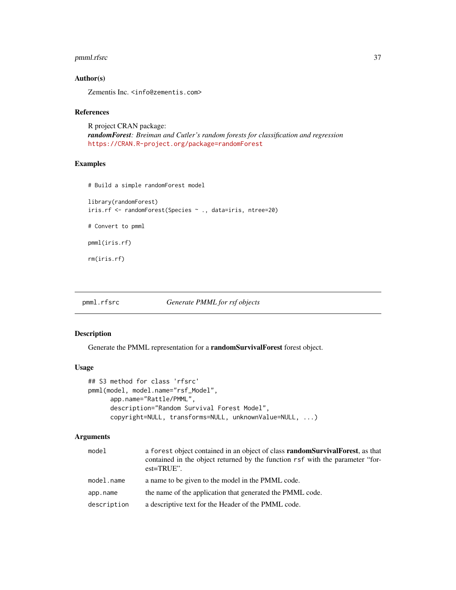# <span id="page-36-0"></span>pmml.rfsrc 37

# Author(s)

Zementis Inc. <info@zementis.com>

#### References

R project CRAN package: *randomForest: Breiman and Cutler's random forests for classification and regression* <https://CRAN.R-project.org/package=randomForest>

# Examples

```
# Build a simple randomForest model
```
library(randomForest) iris.rf <- randomForest(Species ~ ., data=iris, ntree=20) # Convert to pmml pmml(iris.rf)

rm(iris.rf)

<span id="page-36-1"></span>pmml.rfsrc *Generate PMML for rsf objects*

# Description

Generate the PMML representation for a randomSurvivalForest forest object.

#### Usage

```
## S3 method for class 'rfsrc'
pmml(model, model.name="rsf_Model",
      app.name="Rattle/PMML",
      description="Random Survival Forest Model",
      copyright=NULL, transforms=NULL, unknownValue=NULL, ...)
```
# Arguments

| model       | a forest object contained in an object of class <b>random Survival Forest</b> , as that<br>contained in the object returned by the function rsf with the parameter "for-<br>$est = TRUE$ ". |  |
|-------------|---------------------------------------------------------------------------------------------------------------------------------------------------------------------------------------------|--|
| model.name  | a name to be given to the model in the PMML code.                                                                                                                                           |  |
| app.name    | the name of the application that generated the PMML code.                                                                                                                                   |  |
| description | a descriptive text for the Header of the PMML code.                                                                                                                                         |  |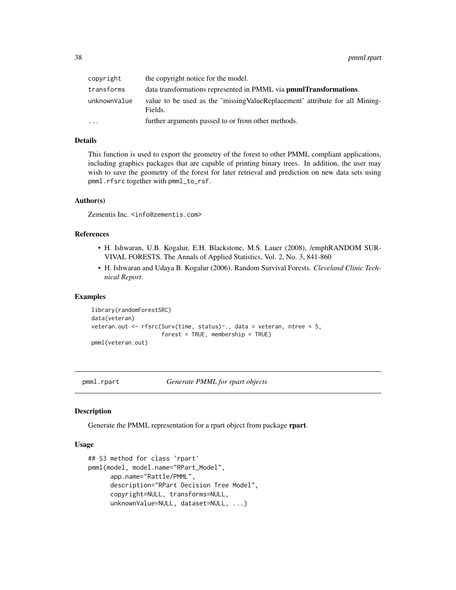<span id="page-37-0"></span>

| copyright    | the copyright notice for the model.                                                     |
|--------------|-----------------------------------------------------------------------------------------|
| transforms   | data transformations represented in PMML via <b>pmmlTransformations</b> .               |
| unknownValue | value to be used as the 'missing ValueReplacement' attribute for all Mining-<br>Fields. |
| .            | further arguments passed to or from other methods.                                      |

# Details

This function is used to export the geometry of the forest to other PMML compliant applications, including graphics packages that are capable of printing binary trees. In addition, the user may wish to save the geometry of the forest for later retrieval and prediction on new data sets using pmml.rfsrc together with pmml\_to\_rsf.

#### Author(s)

Zementis Inc. <info@zementis.com>

# References

- H. Ishwaran, U.B. Kogalur, E.H. Blackstone, M.S. Lauer (2008), /emphRANDOM SUR-VIVAL FORESTS. The Annals of Applied Statistics, Vol. 2, No. 3, 841-860
- H. Ishwaran and Udaya B. Kogalur (2006). Random Survival Forests. *Cleveland Clinic Technical Report*.

#### Examples

```
library(randomForestSRC)
data(veteran)
veteran.out <- rfsrc(Surv(time, status)~., data = veteran, ntree = 5,
                     forest = TRUE, membership = TRUE)
pmml(veteran.out)
```
<span id="page-37-1"></span>

pmml.rpart *Generate PMML for rpart objects*

#### Description

Generate the PMML representation for a rpart object from package **rpart**.

# Usage

```
## S3 method for class 'rpart'
pmml(model, model.name="RPart_Model",
     app.name="Rattle/PMML",
     description="RPart Decision Tree Model",
     copyright=NULL, transforms=NULL,
     unknownValue=NULL, dataset=NULL, ...)
```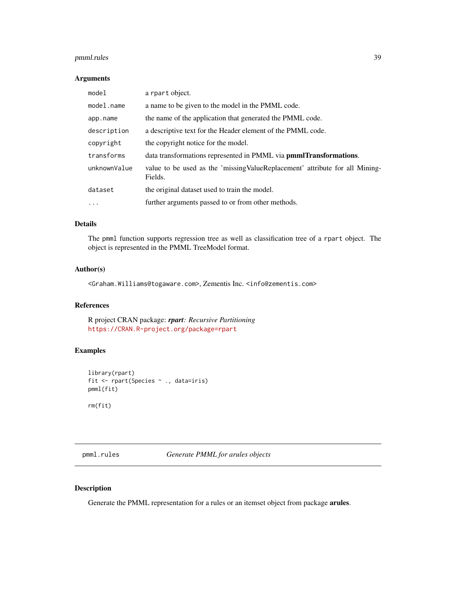# <span id="page-38-0"></span>pmml.rules 39

# Arguments

| model        | a rpart object.                                                                         |  |
|--------------|-----------------------------------------------------------------------------------------|--|
| model.name   | a name to be given to the model in the PMML code.                                       |  |
| app.name     | the name of the application that generated the PMML code.                               |  |
| description  | a descriptive text for the Header element of the PMML code.                             |  |
| copyright    | the copyright notice for the model.                                                     |  |
| transforms   | data transformations represented in PMML via <b>pmmlTransformations</b> .               |  |
| unknownValue | value to be used as the 'missing ValueReplacement' attribute for all Mining-<br>Fields. |  |
| dataset      | the original dataset used to train the model.                                           |  |
| $\cdots$     | further arguments passed to or from other methods.                                      |  |

# Details

The pmml function supports regression tree as well as classification tree of a rpart object. The object is represented in the PMML TreeModel format.

# Author(s)

<Graham.Williams@togaware.com>, Zementis Inc. <info@zementis.com>

# References

R project CRAN package: *rpart: Recursive Partitioning* <https://CRAN.R-project.org/package=rpart>

# Examples

```
library(rpart)
fit <- rpart(Species ~ ., data=iris)
pmml(fit)
rm(fit)
```
<span id="page-38-1"></span>pmml.rules *Generate PMML for arules objects*

# Description

Generate the PMML representation for a rules or an itemset object from package arules.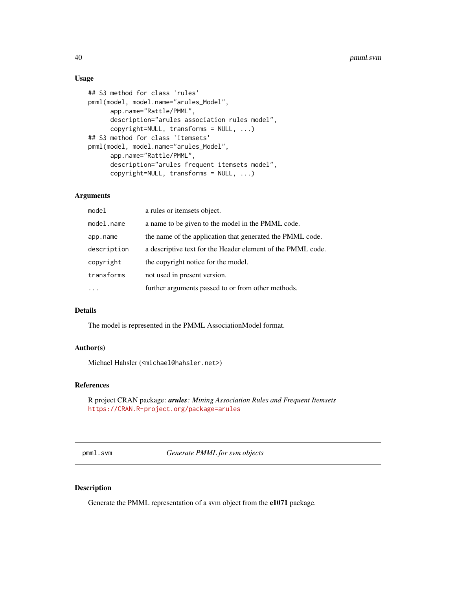# Usage

```
## S3 method for class 'rules'
pmml(model, model.name="arules_Model",
     app.name="Rattle/PMML",
     description="arules association rules model",
     copyright=NULL, transforms = NULL, ...)
## S3 method for class 'itemsets'
pmml(model, model.name="arules_Model",
     app.name="Rattle/PMML",
     description="arules frequent itemsets model",
     copyright=NULL, transforms = NULL, ...)
```
# Arguments

| model                                                                 | a rules or itemsets object.                                 |  |
|-----------------------------------------------------------------------|-------------------------------------------------------------|--|
| model.name                                                            | a name to be given to the model in the PMML code.           |  |
| the name of the application that generated the PMML code.<br>app.name |                                                             |  |
| description                                                           | a descriptive text for the Header element of the PMML code. |  |
| copyright                                                             | the copyright notice for the model.                         |  |
| transforms                                                            | not used in present version.                                |  |
|                                                                       | further arguments passed to or from other methods.          |  |

# Details

The model is represented in the PMML AssociationModel format.

# Author(s)

Michael Hahsler (<michael@hahsler.net>)

# References

R project CRAN package: *arules: Mining Association Rules and Frequent Itemsets* <https://CRAN.R-project.org/package=arules>

<span id="page-39-1"></span>pmml.svm *Generate PMML for svm objects*

# Description

Generate the PMML representation of a svm object from the e1071 package.

<span id="page-39-0"></span>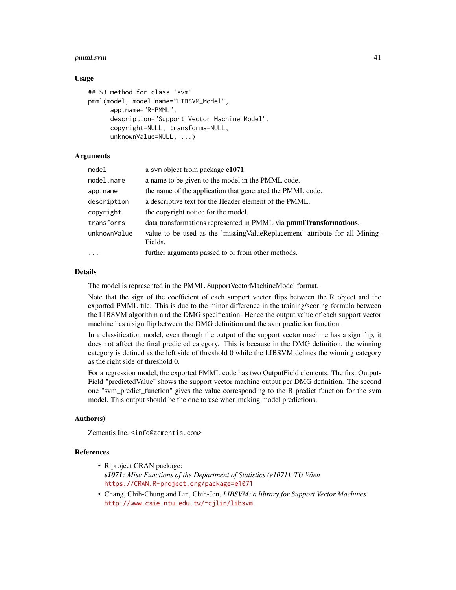#### pmml.svm 41

# Usage

```
## S3 method for class 'svm'
pmml(model, model.name="LIBSVM_Model",
      app.name="R-PMML",
      description="Support Vector Machine Model",
      copyright=NULL, transforms=NULL,
      unknownValue=NULL, ...)
```
# **Arguments**

| model        | a sym object from package e1071.                                                        |
|--------------|-----------------------------------------------------------------------------------------|
| model.name   | a name to be given to the model in the PMML code.                                       |
| app.name     | the name of the application that generated the PMML code.                               |
| description  | a descriptive text for the Header element of the PMML.                                  |
| copyright    | the copyright notice for the model.                                                     |
| transforms   | data transformations represented in PMML via pmmlTransformations.                       |
| unknownValue | value to be used as the 'missing ValueReplacement' attribute for all Mining-<br>Fields. |
| $\cdots$     | further arguments passed to or from other methods.                                      |

# Details

The model is represented in the PMML SupportVectorMachineModel format.

Note that the sign of the coefficient of each support vector flips between the R object and the exported PMML file. This is due to the minor difference in the training/scoring formula between the LIBSVM algorithm and the DMG specification. Hence the output value of each support vector machine has a sign flip between the DMG definition and the svm prediction function.

In a classification model, even though the output of the support vector machine has a sign flip, it does not affect the final predicted category. This is because in the DMG definition, the winning category is defined as the left side of threshold 0 while the LIBSVM defines the winning category as the right side of threshold 0.

For a regression model, the exported PMML code has two OutputField elements. The first Output-Field "predictedValue" shows the support vector machine output per DMG definition. The second one "svm\_predict\_function" gives the value corresponding to the R predict function for the svm model. This output should be the one to use when making model predictions.

# Author(s)

Zementis Inc. <info@zementis.com>

#### References

- R project CRAN package: *e1071: Misc Functions of the Department of Statistics (e1071), TU Wien* <https://CRAN.R-project.org/package=e1071>
- Chang, Chih-Chung and Lin, Chih-Jen, *LIBSVM: a library for Support Vector Machines* <http://www.csie.ntu.edu.tw/~cjlin/libsvm>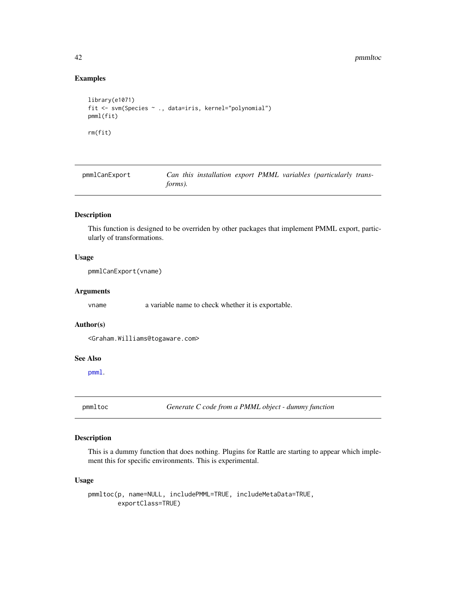42 **pmmltoc** 

# Examples

```
library(e1071)
fit <- svm(Species ~ ., data=iris, kernel="polynomial")
pmml(fit)
rm(fit)
```
pmmlCanExport *Can this installation export PMML variables (particularly transforms).*

# Description

This function is designed to be overriden by other packages that implement PMML export, particularly of transformations.

# Usage

pmmlCanExport(vname)

#### Arguments

vname a variable name to check whether it is exportable.

#### Author(s)

<Graham.Williams@togaware.com>

# See Also

[pmml](#page-19-1).

pmmltoc *Generate C code from a PMML object - dummy function*

# Description

This is a dummy function that does nothing. Plugins for Rattle are starting to appear which implement this for specific environments. This is experimental.

### Usage

```
pmmltoc(p, name=NULL, includePMML=TRUE, includeMetaData=TRUE,
       exportClass=TRUE)
```
<span id="page-41-0"></span>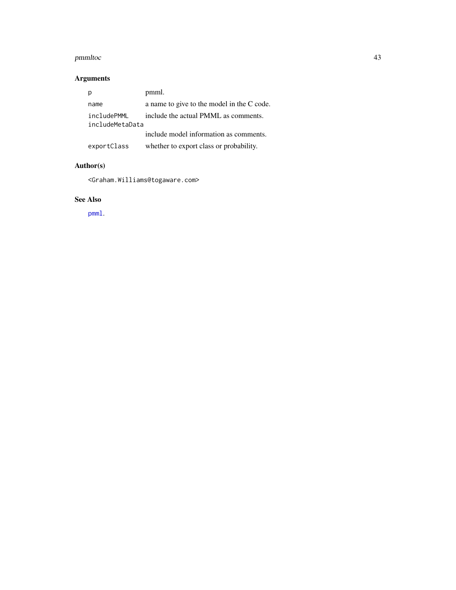#### <span id="page-42-0"></span>pmmltoc and the contract of the contract of the contract of the contract of the contract of the contract of the contract of the contract of the contract of the contract of the contract of the contract of the contract of th

# Arguments

|                                | pmml.                                      |
|--------------------------------|--------------------------------------------|
| name                           | a name to give to the model in the C code. |
| includePMML<br>includeMetaData | include the actual PMML as comments.       |
|                                | include model information as comments.     |
| exportClass                    | whether to export class or probability.    |

# Author(s)

<Graham.Williams@togaware.com>

# See Also

[pmml](#page-19-1).